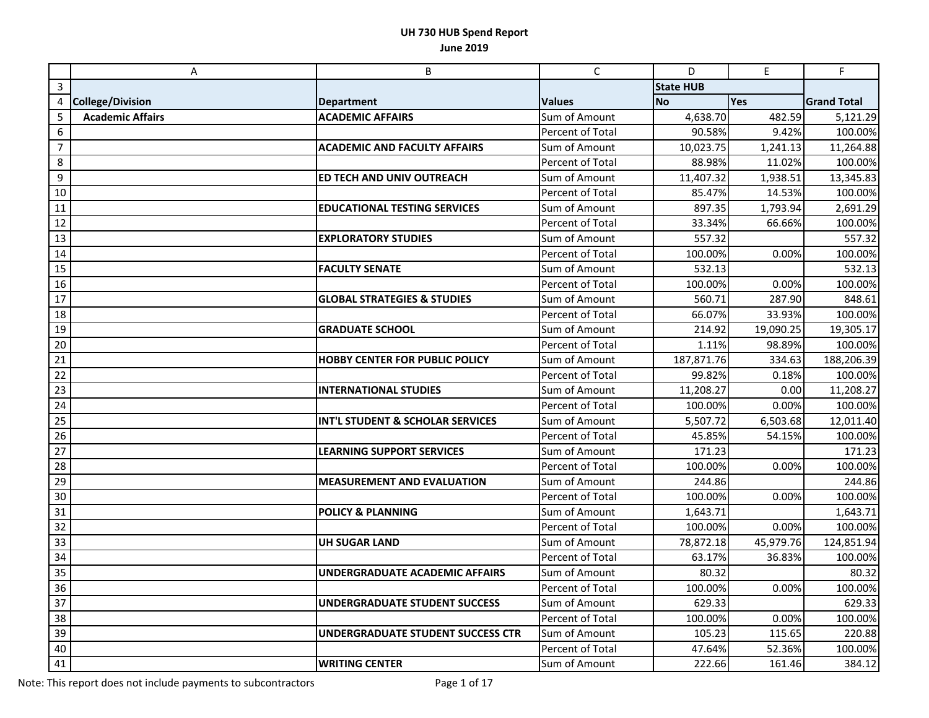|                | A                       | B                                      | $\mathsf{C}$            | D                | E         | $\mathsf F$        |
|----------------|-------------------------|----------------------------------------|-------------------------|------------------|-----------|--------------------|
| 3              |                         |                                        |                         | <b>State HUB</b> |           |                    |
| 4              | <b>College/Division</b> | <b>Department</b>                      | <b>Values</b>           | <b>No</b>        | Yes       | <b>Grand Total</b> |
| 5              | <b>Academic Affairs</b> | <b>ACADEMIC AFFAIRS</b>                | Sum of Amount           | 4,638.70         | 482.59    | 5,121.29           |
| 6              |                         |                                        | Percent of Total        | 90.58%           | 9.42%     | 100.00%            |
| $\overline{7}$ |                         | <b>ACADEMIC AND FACULTY AFFAIRS</b>    | Sum of Amount           | 10,023.75        | 1,241.13  | 11,264.88          |
| 8              |                         |                                        | Percent of Total        | 88.98%           | 11.02%    | 100.00%            |
| 9              |                         | ED TECH AND UNIV OUTREACH              | Sum of Amount           | 11,407.32        | 1,938.51  | 13,345.83          |
| 10             |                         |                                        | Percent of Total        | 85.47%           | 14.53%    | 100.00%            |
| 11             |                         | <b>EDUCATIONAL TESTING SERVICES</b>    | Sum of Amount           | 897.35           | 1,793.94  | 2,691.29           |
| 12             |                         |                                        | Percent of Total        | 33.34%           | 66.66%    | 100.00%            |
| 13             |                         | <b>EXPLORATORY STUDIES</b>             | Sum of Amount           | 557.32           |           | 557.32             |
| 14             |                         |                                        | Percent of Total        | 100.00%          | 0.00%     | 100.00%            |
| 15             |                         | <b>FACULTY SENATE</b>                  | Sum of Amount           | 532.13           |           | 532.13             |
| 16             |                         |                                        | Percent of Total        | 100.00%          | 0.00%     | 100.00%            |
| 17             |                         | <b>GLOBAL STRATEGIES &amp; STUDIES</b> | Sum of Amount           | 560.71           | 287.90    | 848.61             |
| 18             |                         |                                        | <b>Percent of Total</b> | 66.07%           | 33.93%    | 100.00%            |
| 19             |                         | <b>GRADUATE SCHOOL</b>                 | Sum of Amount           | 214.92           | 19,090.25 | 19,305.17          |
| 20             |                         |                                        | Percent of Total        | 1.11%            | 98.89%    | 100.00%            |
| 21             |                         | <b>HOBBY CENTER FOR PUBLIC POLICY</b>  | Sum of Amount           | 187,871.76       | 334.63    | 188,206.39         |
| 22             |                         |                                        | Percent of Total        | 99.82%           | 0.18%     | 100.00%            |
| 23             |                         | <b>INTERNATIONAL STUDIES</b>           | Sum of Amount           | 11,208.27        | 0.00      | 11,208.27          |
| 24             |                         |                                        | Percent of Total        | 100.00%          | 0.00%     | 100.00%            |
| 25             |                         | INT'L STUDENT & SCHOLAR SERVICES       | Sum of Amount           | 5,507.72         | 6,503.68  | 12,011.40          |
| 26             |                         |                                        | Percent of Total        | 45.85%           | 54.15%    | 100.00%            |
| 27             |                         | <b>LEARNING SUPPORT SERVICES</b>       | Sum of Amount           | 171.23           |           | 171.23             |
| 28             |                         |                                        | Percent of Total        | 100.00%          | 0.00%     | 100.00%            |
| 29             |                         | <b>MEASUREMENT AND EVALUATION</b>      | Sum of Amount           | 244.86           |           | 244.86             |
| 30             |                         |                                        | Percent of Total        | 100.00%          | 0.00%     | 100.00%            |
| 31             |                         | <b>POLICY &amp; PLANNING</b>           | Sum of Amount           | 1,643.71         |           | 1,643.71           |
| 32             |                         |                                        | Percent of Total        | 100.00%          | 0.00%     | 100.00%            |
| 33             |                         | <b>UH SUGAR LAND</b>                   | Sum of Amount           | 78,872.18        | 45,979.76 | 124,851.94         |
| 34             |                         |                                        | Percent of Total        | 63.17%           | 36.83%    | 100.00%            |
| 35             |                         | <b>UNDERGRADUATE ACADEMIC AFFAIRS</b>  | Sum of Amount           | 80.32            |           | 80.32              |
| 36             |                         |                                        | Percent of Total        | 100.00%          | 0.00%     | 100.00%            |
| 37             |                         | <b>UNDERGRADUATE STUDENT SUCCESS</b>   | Sum of Amount           | 629.33           |           | 629.33             |
| 38             |                         |                                        | Percent of Total        | 100.00%          | 0.00%     | 100.00%            |
| 39             |                         | UNDERGRADUATE STUDENT SUCCESS CTR      | Sum of Amount           | 105.23           | 115.65    | 220.88             |
| 40             |                         |                                        | Percent of Total        | 47.64%           | 52.36%    | 100.00%            |
| 41             |                         | <b>WRITING CENTER</b>                  | Sum of Amount           | 222.66           | 161.46    | 384.12             |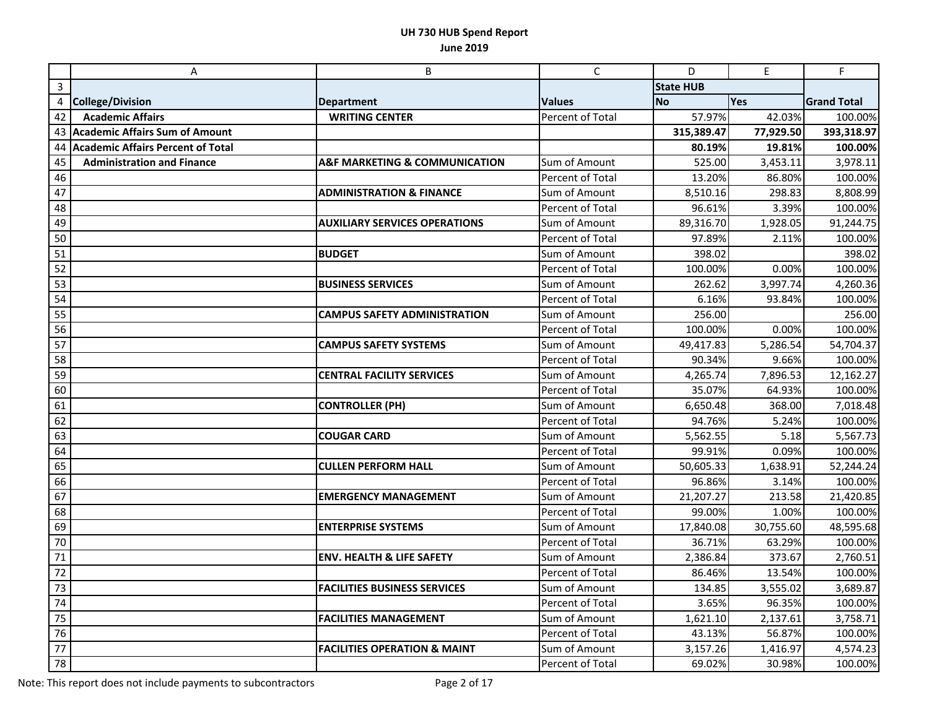|                 | Α                                        | B                                            | $\mathsf{C}$            | D                | $\mathsf E$ | F                     |
|-----------------|------------------------------------------|----------------------------------------------|-------------------------|------------------|-------------|-----------------------|
| 3               |                                          |                                              |                         | <b>State HUB</b> |             |                       |
| 4               | <b>College/Division</b>                  | <b>Department</b>                            | <b>Values</b>           | <b>No</b>        | Yes         | <b>Grand Total</b>    |
| 42              | <b>Academic Affairs</b>                  | <b>WRITING CENTER</b>                        | <b>Percent of Total</b> | 57.97%           | 42.03%      | 100.00%               |
|                 | 43 Academic Affairs Sum of Amount        |                                              |                         | 315,389.47       | 77,929.50   | 393,318.97            |
| 44              | <b>Academic Affairs Percent of Total</b> |                                              |                         | 80.19%           | 19.81%      | 100.00%               |
| 45              | <b>Administration and Finance</b>        | <b>A&amp;F MARKETING &amp; COMMUNICATION</b> | Sum of Amount           | 525.00           | 3,453.11    | 3,978.11              |
| 46              |                                          |                                              | Percent of Total        | 13.20%           | 86.80%      | 100.00%               |
| 47              |                                          | <b>ADMINISTRATION &amp; FINANCE</b>          | Sum of Amount           | 8,510.16         | 298.83      | 8,808.99              |
| 48              |                                          |                                              | Percent of Total        | 96.61%           | 3.39%       | 100.00%               |
| 49              |                                          | <b>AUXILIARY SERVICES OPERATIONS</b>         | Sum of Amount           | 89,316.70        | 1,928.05    | 91,244.75             |
| 50              |                                          |                                              | <b>Percent of Total</b> | 97.89%           | 2.11%       | 100.00%               |
| 51              |                                          | <b>BUDGET</b>                                | Sum of Amount           | 398.02           |             | 398.02                |
| 52              |                                          |                                              | Percent of Total        | 100.00%          | 0.00%       | 100.00%               |
| 53              |                                          | <b>BUSINESS SERVICES</b>                     | Sum of Amount           | 262.62           | 3,997.74    | 4,260.36              |
| 54              |                                          |                                              | Percent of Total        | 6.16%            | 93.84%      | 100.00%               |
| 55              |                                          | <b>CAMPUS SAFETY ADMINISTRATION</b>          | Sum of Amount           | 256.00           |             | 256.00                |
| 56              |                                          |                                              | <b>Percent of Total</b> | 100.00%          | 0.00%       | 100.00%               |
| 57              |                                          | <b>CAMPUS SAFETY SYSTEMS</b>                 | Sum of Amount           | 49,417.83        | 5,286.54    | 54,704.37             |
| 58              |                                          |                                              | Percent of Total        | 90.34%           | 9.66%       | 100.00%               |
| 59              |                                          | <b>CENTRAL FACILITY SERVICES</b>             | Sum of Amount           | 4,265.74         | 7,896.53    | 12,162.27             |
| 60              |                                          |                                              | Percent of Total        | 35.07%           | 64.93%      | 100.00%               |
| 61              |                                          | <b>CONTROLLER (PH)</b>                       | Sum of Amount           | 6,650.48         | 368.00      | 7,018.48              |
| 62              |                                          |                                              | Percent of Total        | 94.76%           | 5.24%       | 100.00%               |
| 63              |                                          | <b>COUGAR CARD</b>                           | Sum of Amount           | 5,562.55         | 5.18        | $5,567.\overline{73}$ |
| 64              |                                          |                                              | <b>Percent of Total</b> | 99.91%           | 0.09%       | 100.00%               |
| 65              |                                          | <b>CULLEN PERFORM HALL</b>                   | Sum of Amount           | 50,605.33        | 1,638.91    | 52,244.24             |
| 66              |                                          |                                              | Percent of Total        | 96.86%           | 3.14%       | 100.00%               |
| 67              |                                          | <b>EMERGENCY MANAGEMENT</b>                  | Sum of Amount           | 21,207.27        | 213.58      | 21,420.85             |
| 68              |                                          |                                              | Percent of Total        | 99.00%           | 1.00%       | 100.00%               |
| 69              |                                          | <b>ENTERPRISE SYSTEMS</b>                    | Sum of Amount           | 17,840.08        | 30,755.60   | 48,595.68             |
| 70              |                                          |                                              | Percent of Total        | 36.71%           | 63.29%      | 100.00%               |
| 71              |                                          | <b>ENV. HEALTH &amp; LIFE SAFETY</b>         | Sum of Amount           | 2,386.84         | 373.67      | 2,760.51              |
| 72              |                                          |                                              | Percent of Total        | 86.46%           | 13.54%      | 100.00%               |
| 73              |                                          | <b>FACILITIES BUSINESS SERVICES</b>          | Sum of Amount           | 134.85           | 3,555.02    | 3,689.87              |
| 74              |                                          |                                              | Percent of Total        | 3.65%            | 96.35%      | 100.00%               |
| 75              |                                          | <b>FACILITIES MANAGEMENT</b>                 | Sum of Amount           | 1,621.10         | 2,137.61    | 3,758.71              |
| 76              |                                          |                                              | Percent of Total        | 43.13%           | 56.87%      | 100.00%               |
| $\overline{77}$ |                                          | <b>FACILITIES OPERATION &amp; MAINT</b>      | Sum of Amount           | 3,157.26         | 1,416.97    | 4,574.23              |
| 78              |                                          |                                              | Percent of Total        | 69.02%           | 30.98%      | 100.00%               |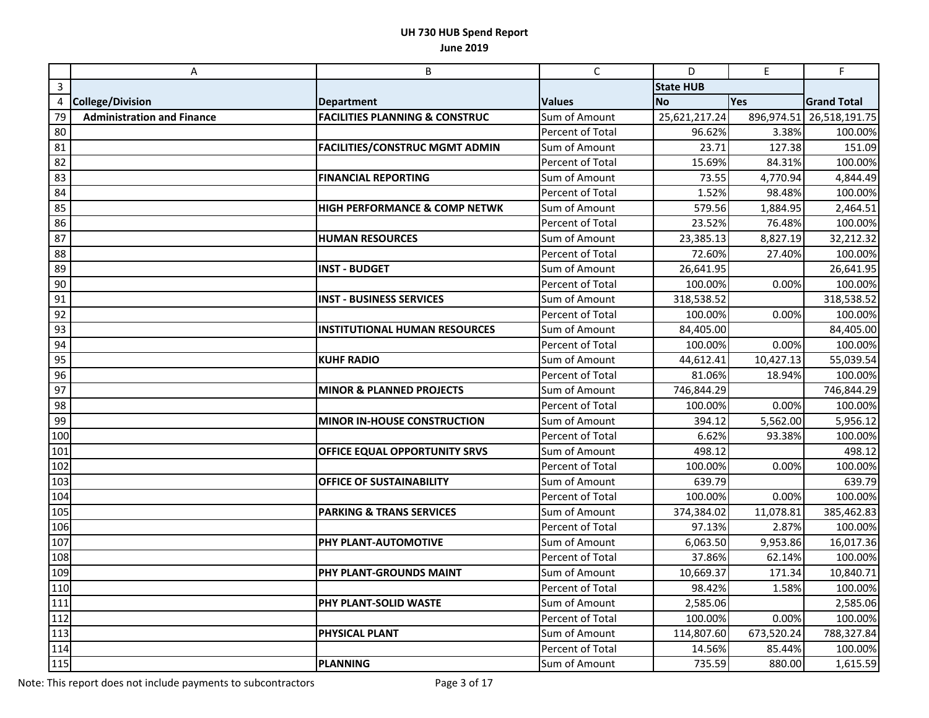|              | A                                 | B                                         | $\mathsf C$      | D                | $\mathsf E$ | F                  |
|--------------|-----------------------------------|-------------------------------------------|------------------|------------------|-------------|--------------------|
| $\mathbf{3}$ |                                   |                                           |                  | <b>State HUB</b> |             |                    |
| 4            | <b>College/Division</b>           | <b>Department</b>                         | <b>Values</b>    | <b>No</b>        | Yes         | <b>Grand Total</b> |
| 79           | <b>Administration and Finance</b> | <b>FACILITIES PLANNING &amp; CONSTRUC</b> | Sum of Amount    | 25,621,217.24    | 896,974.51  | 26,518,191.75      |
| 80           |                                   |                                           | Percent of Total | 96.62%           | 3.38%       | 100.00%            |
| 81           |                                   | <b>FACILITIES/CONSTRUC MGMT ADMIN</b>     | Sum of Amount    | 23.71            | 127.38      | 151.09             |
| 82           |                                   |                                           | Percent of Total | 15.69%           | 84.31%      | 100.00%            |
| 83           |                                   | <b>FINANCIAL REPORTING</b>                | Sum of Amount    | 73.55            | 4,770.94    | 4,844.49           |
| 84           |                                   |                                           | Percent of Total | 1.52%            | 98.48%      | 100.00%            |
| 85           |                                   | <b>HIGH PERFORMANCE &amp; COMP NETWK</b>  | Sum of Amount    | 579.56           | 1,884.95    | 2,464.51           |
| 86           |                                   |                                           | Percent of Total | 23.52%           | 76.48%      | 100.00%            |
| 87           |                                   | <b>HUMAN RESOURCES</b>                    | Sum of Amount    | 23,385.13        | 8,827.19    | 32,212.32          |
| 88           |                                   |                                           | Percent of Total | 72.60%           | 27.40%      | 100.00%            |
| 89           |                                   | <b>INST - BUDGET</b>                      | Sum of Amount    | 26,641.95        |             | 26,641.95          |
| 90           |                                   |                                           | Percent of Total | 100.00%          | 0.00%       | 100.00%            |
| 91           |                                   | <b>INST - BUSINESS SERVICES</b>           | Sum of Amount    | 318,538.52       |             | 318,538.52         |
| 92           |                                   |                                           | Percent of Total | 100.00%          | 0.00%       | 100.00%            |
| 93           |                                   | <b>INSTITUTIONAL HUMAN RESOURCES</b>      | Sum of Amount    | 84,405.00        |             | 84,405.00          |
| 94           |                                   |                                           | Percent of Total | 100.00%          | 0.00%       | 100.00%            |
| 95           |                                   | <b>KUHF RADIO</b>                         | Sum of Amount    | 44,612.41        | 10,427.13   | 55,039.54          |
| 96           |                                   |                                           | Percent of Total | 81.06%           | 18.94%      | 100.00%            |
| 97           |                                   | <b>MINOR &amp; PLANNED PROJECTS</b>       | Sum of Amount    | 746,844.29       |             | 746,844.29         |
| 98           |                                   |                                           | Percent of Total | 100.00%          | 0.00%       | 100.00%            |
| 99           |                                   | MINOR IN-HOUSE CONSTRUCTION               | Sum of Amount    | 394.12           | 5,562.00    | 5,956.12           |
| 100          |                                   |                                           | Percent of Total | 6.62%            | 93.38%      | 100.00%            |
| 101          |                                   | OFFICE EQUAL OPPORTUNITY SRVS             | Sum of Amount    | 498.12           |             | 498.12             |
| 102          |                                   |                                           | Percent of Total | 100.00%          | 0.00%       | 100.00%            |
| 103          |                                   | <b>OFFICE OF SUSTAINABILITY</b>           | Sum of Amount    | 639.79           |             | 639.79             |
| 104          |                                   |                                           | Percent of Total | 100.00%          | 0.00%       | 100.00%            |
| 105          |                                   | <b>PARKING &amp; TRANS SERVICES</b>       | Sum of Amount    | 374,384.02       | 11,078.81   | 385,462.83         |
| 106          |                                   |                                           | Percent of Total | 97.13%           | 2.87%       | 100.00%            |
| 107          |                                   | <b>PHY PLANT-AUTOMOTIVE</b>               | Sum of Amount    | 6,063.50         | 9,953.86    | 16,017.36          |
| 108          |                                   |                                           | Percent of Total | 37.86%           | 62.14%      | 100.00%            |
| 109          |                                   | PHY PLANT-GROUNDS MAINT                   | Sum of Amount    | 10,669.37        | 171.34      | 10,840.71          |
| 110          |                                   |                                           | Percent of Total | 98.42%           | 1.58%       | 100.00%            |
| 111          |                                   | <b>PHY PLANT-SOLID WASTE</b>              | Sum of Amount    | 2,585.06         |             | 2,585.06           |
| 112          |                                   |                                           | Percent of Total | 100.00%          | 0.00%       | 100.00%            |
| $\sqrt{113}$ |                                   | <b>PHYSICAL PLANT</b>                     | Sum of Amount    | 114,807.60       | 673,520.24  | 788,327.84         |
| 114          |                                   |                                           | Percent of Total | 14.56%           | 85.44%      | 100.00%            |
| 115          |                                   | <b>PLANNING</b>                           | Sum of Amount    | 735.59           | 880.00      | 1,615.59           |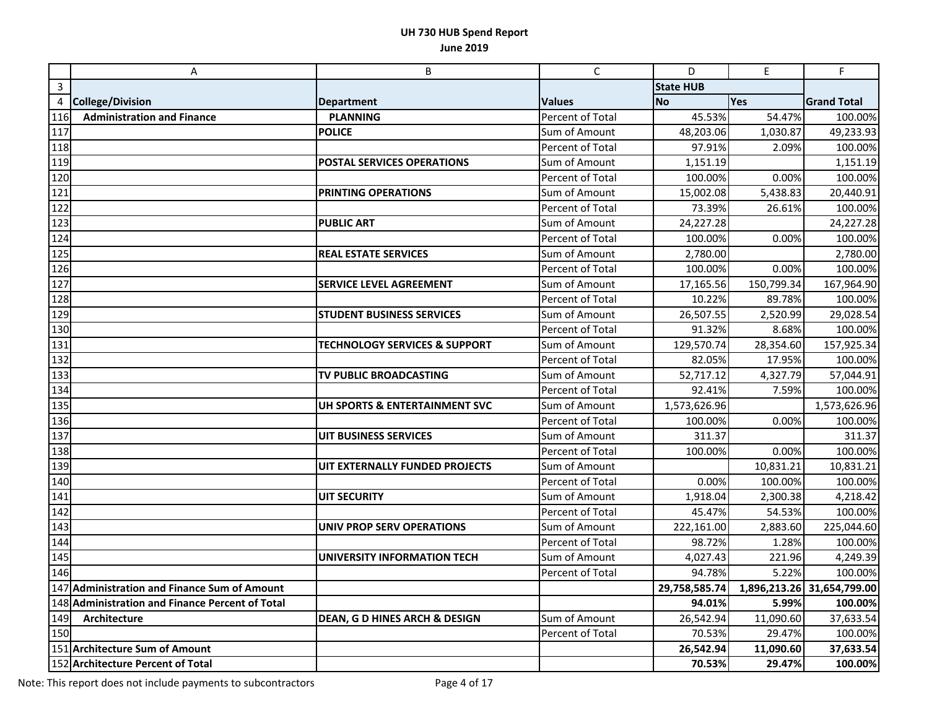|                | A                                                  | B                                        | $\mathsf{C}$            | D                | $\mathsf E$ | F                          |
|----------------|----------------------------------------------------|------------------------------------------|-------------------------|------------------|-------------|----------------------------|
| $\overline{3}$ |                                                    |                                          |                         | <b>State HUB</b> |             |                            |
| 4              | <b>College/Division</b>                            | <b>Department</b>                        | <b>Values</b>           | <b>No</b>        | Yes         | <b>Grand Total</b>         |
| 116            | <b>Administration and Finance</b>                  | <b>PLANNING</b>                          | Percent of Total        | 45.53%           | 54.47%      | 100.00%                    |
| 117            |                                                    | <b>POLICE</b>                            | Sum of Amount           | 48,203.06        | 1,030.87    | 49,233.93                  |
| 118            |                                                    |                                          | Percent of Total        | 97.91%           | 2.09%       | 100.00%                    |
| 119            |                                                    | POSTAL SERVICES OPERATIONS               | Sum of Amount           | 1,151.19         |             | 1,151.19                   |
| 120            |                                                    |                                          | Percent of Total        | 100.00%          | 0.00%       | 100.00%                    |
| 121            |                                                    | PRINTING OPERATIONS                      | Sum of Amount           | 15,002.08        | 5,438.83    | 20,440.91                  |
| 122            |                                                    |                                          | Percent of Total        | 73.39%           | 26.61%      | 100.00%                    |
| 123            |                                                    | <b>PUBLIC ART</b>                        | Sum of Amount           | 24,227.28        |             | 24,227.28                  |
| 124            |                                                    |                                          | <b>Percent of Total</b> | 100.00%          | 0.00%       | 100.00%                    |
| 125            |                                                    | <b>REAL ESTATE SERVICES</b>              | Sum of Amount           | 2,780.00         |             | 2,780.00                   |
| 126            |                                                    |                                          | Percent of Total        | 100.00%          | 0.00%       | 100.00%                    |
| 127            |                                                    | <b>SERVICE LEVEL AGREEMENT</b>           | Sum of Amount           | 17,165.56        | 150,799.34  | 167,964.90                 |
| 128            |                                                    |                                          | Percent of Total        | 10.22%           | 89.78%      | 100.00%                    |
| 129            |                                                    | <b>STUDENT BUSINESS SERVICES</b>         | Sum of Amount           | 26,507.55        | 2,520.99    | 29,028.54                  |
| 130            |                                                    |                                          | Percent of Total        | 91.32%           | 8.68%       | 100.00%                    |
| 131            |                                                    | <b>TECHNOLOGY SERVICES &amp; SUPPORT</b> | Sum of Amount           | 129,570.74       | 28,354.60   | 157,925.34                 |
| 132            |                                                    |                                          | Percent of Total        | 82.05%           | 17.95%      | 100.00%                    |
| 133            |                                                    | TV PUBLIC BROADCASTING                   | Sum of Amount           | 52,717.12        | 4,327.79    | 57,044.91                  |
| 134            |                                                    |                                          | Percent of Total        | 92.41%           | 7.59%       | 100.00%                    |
| 135            |                                                    | UH SPORTS & ENTERTAINMENT SVC            | Sum of Amount           | 1,573,626.96     |             | 1,573,626.96               |
| 136            |                                                    |                                          | Percent of Total        | 100.00%          | 0.00%       | 100.00%                    |
| 137            |                                                    | <b>UIT BUSINESS SERVICES</b>             | Sum of Amount           | 311.37           |             | 311.37                     |
| 138            |                                                    |                                          | Percent of Total        | 100.00%          | 0.00%       | 100.00%                    |
| 139            |                                                    | UIT EXTERNALLY FUNDED PROJECTS           | Sum of Amount           |                  | 10,831.21   | 10,831.21                  |
| 140            |                                                    |                                          | Percent of Total        | 0.00%            | 100.00%     | 100.00%                    |
| 141            |                                                    | <b>UIT SECURITY</b>                      | Sum of Amount           | 1,918.04         | 2,300.38    | 4,218.42                   |
| 142            |                                                    |                                          | Percent of Total        | 45.47%           | 54.53%      | 100.00%                    |
| 143            |                                                    | <b>UNIV PROP SERV OPERATIONS</b>         | Sum of Amount           | 222,161.00       | 2,883.60    | 225,044.60                 |
| 144            |                                                    |                                          | Percent of Total        | 98.72%           | 1.28%       | 100.00%                    |
| 145            |                                                    | <b>UNIVERSITY INFORMATION TECH</b>       | Sum of Amount           | 4,027.43         | 221.96      | 4,249.39                   |
| 146            |                                                    |                                          | Percent of Total        | 94.78%           | 5.22%       | 100.00%                    |
|                | 147 Administration and Finance Sum of Amount       |                                          |                         | 29,758,585.74    |             | 1,896,213.26 31,654,799.00 |
| 148            | <b>Administration and Finance Percent of Total</b> |                                          |                         | 94.01%           | 5.99%       | 100.00%                    |
| 149            | Architecture                                       | <b>DEAN, G D HINES ARCH &amp; DESIGN</b> | Sum of Amount           | 26,542.94        | 11,090.60   | 37,633.54                  |
| 150            |                                                    |                                          | Percent of Total        | 70.53%           | 29.47%      | 100.00%                    |
|                | 151 Architecture Sum of Amount                     |                                          |                         | 26,542.94        | 11,090.60   | 37,633.54                  |
|                | 152 Architecture Percent of Total                  |                                          |                         | 70.53%           | 29.47%      | 100.00%                    |

Note: This report does not include payments to subcontractors Page 4 of 17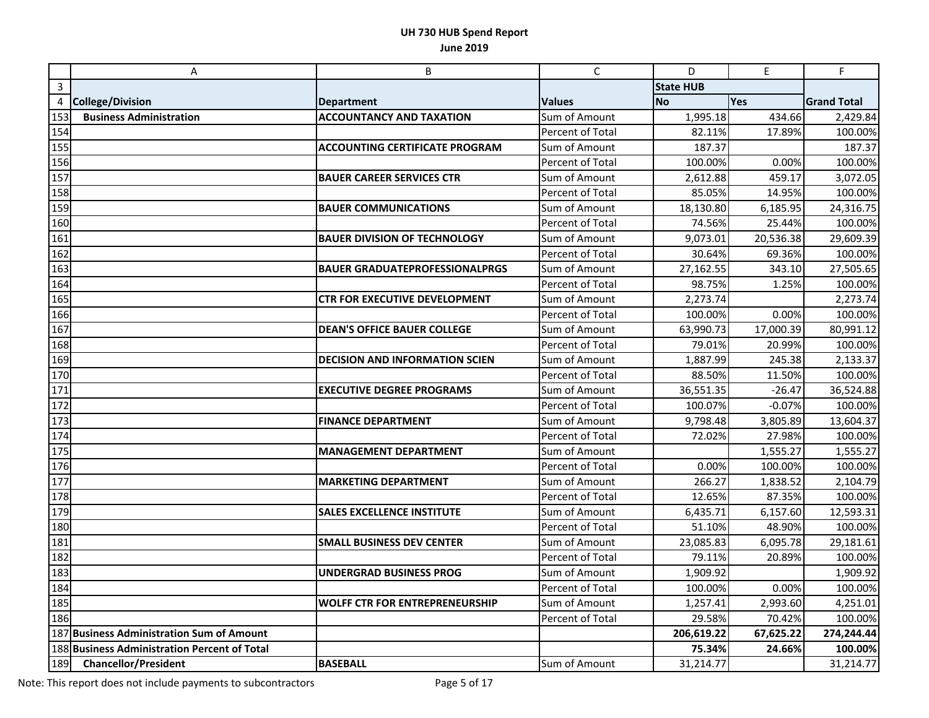|                  | A                                            | B                                     | $\mathsf C$      | D                | $\mathsf E$ | F                  |
|------------------|----------------------------------------------|---------------------------------------|------------------|------------------|-------------|--------------------|
| $\mathbf{3}$     |                                              |                                       |                  | <b>State HUB</b> |             |                    |
| 4                | <b>College/Division</b>                      | <b>Department</b>                     | <b>Values</b>    | <b>No</b>        | Yes         | <b>Grand Total</b> |
| 153              | <b>Business Administration</b>               | <b>ACCOUNTANCY AND TAXATION</b>       | Sum of Amount    | 1,995.18         | 434.66      | 2,429.84           |
| 154              |                                              |                                       | Percent of Total | 82.11%           | 17.89%      | 100.00%            |
| 155              |                                              | <b>ACCOUNTING CERTIFICATE PROGRAM</b> | Sum of Amount    | 187.37           |             | 187.37             |
| 156              |                                              |                                       | Percent of Total | 100.00%          | 0.00%       | 100.00%            |
| 157              |                                              | <b>BAUER CAREER SERVICES CTR</b>      | Sum of Amount    | 2,612.88         | 459.17      | 3,072.05           |
| 158              |                                              |                                       | Percent of Total | 85.05%           | 14.95%      | 100.00%            |
| 159              |                                              | <b>BAUER COMMUNICATIONS</b>           | Sum of Amount    | 18,130.80        | 6,185.95    | 24,316.75          |
| 160              |                                              |                                       | Percent of Total | 74.56%           | 25.44%      | 100.00%            |
| 161              |                                              | <b>BAUER DIVISION OF TECHNOLOGY</b>   | Sum of Amount    | 9,073.01         | 20,536.38   | 29,609.39          |
| 162              |                                              |                                       | Percent of Total | 30.64%           | 69.36%      | 100.00%            |
| 163              |                                              | <b>BAUER GRADUATEPROFESSIONALPRGS</b> | Sum of Amount    | 27,162.55        | 343.10      | 27,505.65          |
| $\overline{1}64$ |                                              |                                       | Percent of Total | 98.75%           | 1.25%       | 100.00%            |
| 165              |                                              | <b>CTR FOR EXECUTIVE DEVELOPMENT</b>  | Sum of Amount    | 2,273.74         |             | 2,273.74           |
| 166              |                                              |                                       | Percent of Total | 100.00%          | 0.00%       | 100.00%            |
| 167              |                                              | <b>DEAN'S OFFICE BAUER COLLEGE</b>    | Sum of Amount    | 63,990.73        | 17,000.39   | 80,991.12          |
| 168              |                                              |                                       | Percent of Total | 79.01%           | 20.99%      | 100.00%            |
| 169              |                                              | <b>DECISION AND INFORMATION SCIEN</b> | Sum of Amount    | 1,887.99         | 245.38      | 2,133.37           |
| 170              |                                              |                                       | Percent of Total | 88.50%           | 11.50%      | 100.00%            |
| 171              |                                              | <b>EXECUTIVE DEGREE PROGRAMS</b>      | Sum of Amount    | 36,551.35        | $-26.47$    | 36,524.88          |
| 172              |                                              |                                       | Percent of Total | 100.07%          | $-0.07%$    | 100.00%            |
| 173              |                                              | <b>FINANCE DEPARTMENT</b>             | Sum of Amount    | 9,798.48         | 3,805.89    | 13,604.37          |
| 174              |                                              |                                       | Percent of Total | 72.02%           | 27.98%      | 100.00%            |
| 175              |                                              | <b>MANAGEMENT DEPARTMENT</b>          | Sum of Amount    |                  | 1,555.27    | 1,555.27           |
| 176              |                                              |                                       | Percent of Total | 0.00%            | 100.00%     | 100.00%            |
| 177              |                                              | <b>MARKETING DEPARTMENT</b>           | Sum of Amount    | 266.27           | 1,838.52    | 2,104.79           |
| 178              |                                              |                                       | Percent of Total | 12.65%           | 87.35%      | 100.00%            |
| 179              |                                              | <b>SALES EXCELLENCE INSTITUTE</b>     | Sum of Amount    | 6,435.71         | 6,157.60    | 12,593.31          |
| 180              |                                              |                                       | Percent of Total | 51.10%           | 48.90%      | 100.00%            |
| 181              |                                              | <b>SMALL BUSINESS DEV CENTER</b>      | Sum of Amount    | 23,085.83        | 6,095.78    | 29,181.61          |
| 182              |                                              |                                       | Percent of Total | 79.11%           | 20.89%      | 100.00%            |
| 183              |                                              | <b>UNDERGRAD BUSINESS PROG</b>        | Sum of Amount    | 1,909.92         |             | 1,909.92           |
| 184              |                                              |                                       | Percent of Total | 100.00%          | 0.00%       | 100.00%            |
| 185              |                                              | <b>WOLFF CTR FOR ENTREPRENEURSHIP</b> | Sum of Amount    | 1,257.41         | 2,993.60    | 4,251.01           |
| 186              |                                              |                                       | Percent of Total | 29.58%           | 70.42%      | 100.00%            |
|                  | 187 Business Administration Sum of Amount    |                                       |                  | 206,619.22       | 67,625.22   | 274,244.44         |
|                  | 188 Business Administration Percent of Total |                                       |                  | 75.34%           | 24.66%      | 100.00%            |
| 189              | <b>Chancellor/President</b>                  | <b>BASEBALL</b>                       | Sum of Amount    | 31,214.77        |             | 31,214.77          |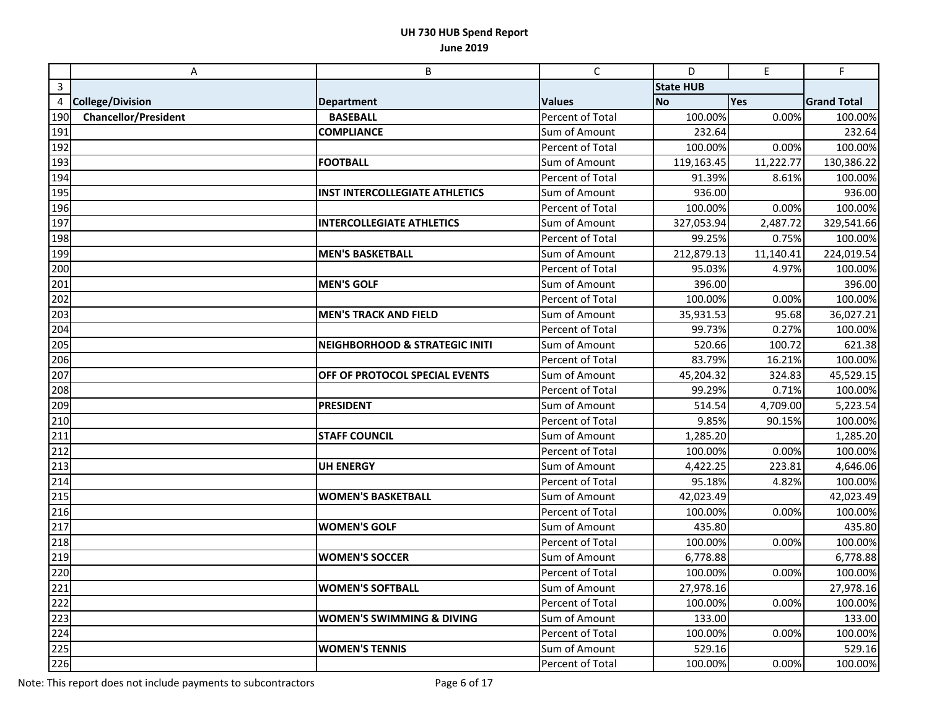|              | Α                           | B                                     | $\mathsf C$             | D                | $\mathsf E$ | F                  |
|--------------|-----------------------------|---------------------------------------|-------------------------|------------------|-------------|--------------------|
| $\mathbf{3}$ |                             |                                       |                         | <b>State HUB</b> |             |                    |
| 4            | <b>College/Division</b>     | <b>Department</b>                     | <b>Values</b>           | <b>No</b>        | Yes         | <b>Grand Total</b> |
| 190          | <b>Chancellor/President</b> | <b>BASEBALL</b>                       | Percent of Total        | 100.00%          | 0.00%       | 100.00%            |
| 191          |                             | <b>COMPLIANCE</b>                     | Sum of Amount           | 232.64           |             | 232.64             |
| 192          |                             |                                       | Percent of Total        | 100.00%          | 0.00%       | 100.00%            |
| 193          |                             | <b>FOOTBALL</b>                       | Sum of Amount           | 119,163.45       | 11,222.77   | 130,386.22         |
| 194          |                             |                                       | Percent of Total        | 91.39%           | 8.61%       | 100.00%            |
| 195          |                             | <b>INST INTERCOLLEGIATE ATHLETICS</b> | Sum of Amount           | 936.00           |             | 936.00             |
| 196          |                             |                                       | <b>Percent of Total</b> | 100.00%          | 0.00%       | 100.00%            |
| 197          |                             | <b>INTERCOLLEGIATE ATHLETICS</b>      | Sum of Amount           | 327,053.94       | 2,487.72    | 329,541.66         |
| 198          |                             |                                       | Percent of Total        | 99.25%           | 0.75%       | 100.00%            |
| 199          |                             | <b>MEN'S BASKETBALL</b>               | Sum of Amount           | 212,879.13       | 11,140.41   | 224,019.54         |
| 200          |                             |                                       | <b>Percent of Total</b> | 95.03%           | 4.97%       | 100.00%            |
| 201          |                             | <b>MEN'S GOLF</b>                     | Sum of Amount           | 396.00           |             | 396.00             |
| 202          |                             |                                       | Percent of Total        | 100.00%          | 0.00%       | 100.00%            |
| 203          |                             | <b>MEN'S TRACK AND FIELD</b>          | Sum of Amount           | 35,931.53        | 95.68       | 36,027.21          |
| 204          |                             |                                       | <b>Percent of Total</b> | 99.73%           | 0.27%       | 100.00%            |
| 205          |                             | NEIGHBORHOOD & STRATEGIC INITI        | Sum of Amount           | 520.66           | 100.72      | 621.38             |
| 206          |                             |                                       | Percent of Total        | 83.79%           | 16.21%      | 100.00%            |
| 207          |                             | OFF OF PROTOCOL SPECIAL EVENTS        | Sum of Amount           | 45,204.32        | 324.83      | 45,529.15          |
| 208          |                             |                                       | Percent of Total        | 99.29%           | 0.71%       | 100.00%            |
| 209          |                             | <b>PRESIDENT</b>                      | Sum of Amount           | 514.54           | 4,709.00    | 5,223.54           |
| 210          |                             |                                       | Percent of Total        | 9.85%            | 90.15%      | 100.00%            |
| 211          |                             | <b>STAFF COUNCIL</b>                  | Sum of Amount           | 1,285.20         |             | 1,285.20           |
| 212          |                             |                                       | Percent of Total        | 100.00%          | 0.00%       | 100.00%            |
| 213          |                             | <b>UH ENERGY</b>                      | Sum of Amount           | 4,422.25         | 223.81      | 4,646.06           |
| 214          |                             |                                       | Percent of Total        | 95.18%           | 4.82%       | 100.00%            |
| 215          |                             | <b>WOMEN'S BASKETBALL</b>             | Sum of Amount           | 42,023.49        |             | 42,023.49          |
| 216          |                             |                                       | Percent of Total        | 100.00%          | 0.00%       | 100.00%            |
| 217          |                             | <b>WOMEN'S GOLF</b>                   | Sum of Amount           | 435.80           |             | 435.80             |
| 218          |                             |                                       | Percent of Total        | 100.00%          | 0.00%       | 100.00%            |
| 219          |                             | <b>WOMEN'S SOCCER</b>                 | Sum of Amount           | 6,778.88         |             | 6,778.88           |
| 220          |                             |                                       | <b>Percent of Total</b> | 100.00%          | 0.00%       | 100.00%            |
| 221          |                             | <b>WOMEN'S SOFTBALL</b>               | Sum of Amount           | 27,978.16        |             | 27,978.16          |
| 222          |                             |                                       | Percent of Total        | 100.00%          | 0.00%       | 100.00%            |
| 223          |                             | <b>WOMEN'S SWIMMING &amp; DIVING</b>  | Sum of Amount           | 133.00           |             | 133.00             |
| 224          |                             |                                       | Percent of Total        | 100.00%          | 0.00%       | 100.00%            |
| 225          |                             | <b>WOMEN'S TENNIS</b>                 | Sum of Amount           | 529.16           |             | 529.16             |
| 226          |                             |                                       | Percent of Total        | 100.00%          | 0.00%       | 100.00%            |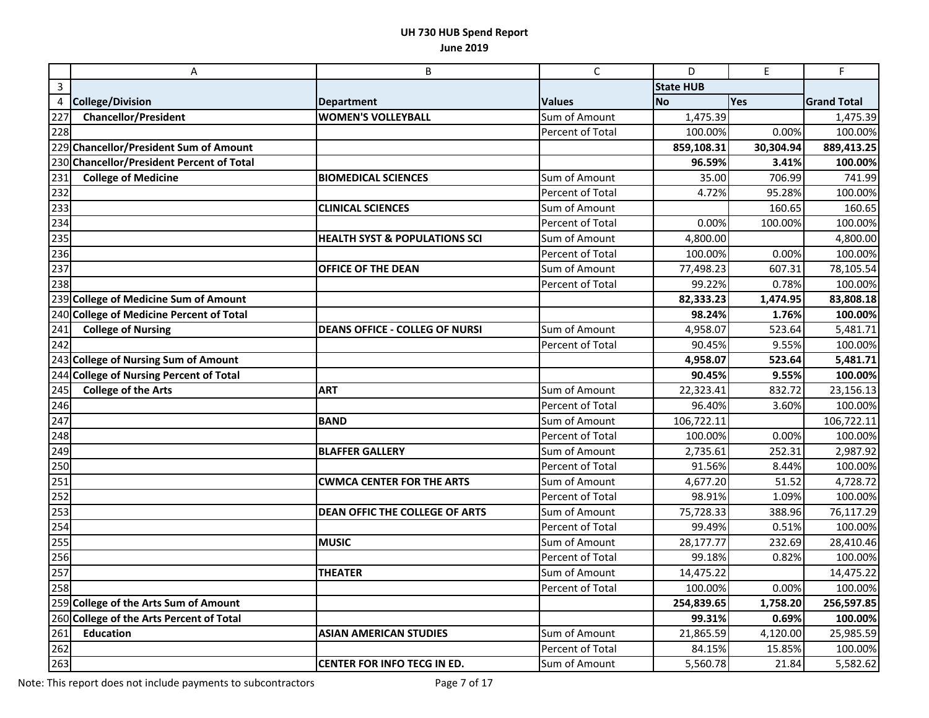|                   | $\boldsymbol{\mathsf{A}}$                 | B                                        | $\mathsf{C}$            | D                | $\mathsf E$ | F                  |
|-------------------|-------------------------------------------|------------------------------------------|-------------------------|------------------|-------------|--------------------|
| $\mathbf{3}$      |                                           |                                          |                         | <b>State HUB</b> |             |                    |
| 4                 | <b>College/Division</b>                   | <b>Department</b>                        | <b>Values</b>           | <b>No</b>        | Yes         | <b>Grand Total</b> |
| 227               | <b>Chancellor/President</b>               | <b>WOMEN'S VOLLEYBALL</b>                | Sum of Amount           | 1,475.39         |             | 1,475.39           |
| 228               |                                           |                                          | Percent of Total        | 100.00%          | 0.00%       | 100.00%            |
|                   | 229 Chancellor/President Sum of Amount    |                                          |                         | 859,108.31       | 30,304.94   | 889,413.25         |
|                   | 230 Chancellor/President Percent of Total |                                          |                         | 96.59%           | 3.41%       | 100.00%            |
| 231               | <b>College of Medicine</b>                | <b>BIOMEDICAL SCIENCES</b>               | Sum of Amount           | 35.00            | 706.99      | 741.99             |
| 232               |                                           |                                          | Percent of Total        | 4.72%            | 95.28%      | 100.00%            |
| 233               |                                           | <b>CLINICAL SCIENCES</b>                 | Sum of Amount           |                  | 160.65      | 160.65             |
| 234               |                                           |                                          | <b>Percent of Total</b> | 0.00%            | 100.00%     | 100.00%            |
| 235               |                                           | <b>HEALTH SYST &amp; POPULATIONS SCI</b> | Sum of Amount           | 4,800.00         |             | 4,800.00           |
| 236               |                                           |                                          | Percent of Total        | 100.00%          | 0.00%       | 100.00%            |
| 237               |                                           | OFFICE OF THE DEAN                       | Sum of Amount           | 77,498.23        | 607.31      | 78,105.54          |
| 238               |                                           |                                          | Percent of Total        | 99.22%           | 0.78%       | 100.00%            |
|                   | 239 College of Medicine Sum of Amount     |                                          |                         | 82,333.23        | 1,474.95    | 83,808.18          |
|                   | 240 College of Medicine Percent of Total  |                                          |                         | 98.24%           | 1.76%       | 100.00%            |
| 241               | <b>College of Nursing</b>                 | <b>DEANS OFFICE - COLLEG OF NURSI</b>    | Sum of Amount           | 4,958.07         | 523.64      | 5,481.71           |
| 242               |                                           |                                          | Percent of Total        | 90.45%           | 9.55%       | 100.00%            |
|                   | 243 College of Nursing Sum of Amount      |                                          |                         | 4,958.07         | 523.64      | 5,481.71           |
|                   | 244 College of Nursing Percent of Total   |                                          |                         | 90.45%           | 9.55%       | 100.00%            |
| 245               | <b>College of the Arts</b>                | <b>ART</b>                               | Sum of Amount           | 22,323.41        | 832.72      | 23,156.13          |
| 246               |                                           |                                          | Percent of Total        | 96.40%           | 3.60%       | 100.00%            |
| 247               |                                           | <b>BAND</b>                              | Sum of Amount           | 106,722.11       |             | 106,722.11         |
| $\overline{2}$ 48 |                                           |                                          | Percent of Total        | 100.00%          | 0.00%       | 100.00%            |
| 249               |                                           | <b>BLAFFER GALLERY</b>                   | Sum of Amount           | 2,735.61         | 252.31      | 2,987.92           |
| 250               |                                           |                                          | Percent of Total        | 91.56%           | 8.44%       | 100.00%            |
| 251               |                                           | <b>CWMCA CENTER FOR THE ARTS</b>         | Sum of Amount           | 4,677.20         | 51.52       | 4,728.72           |
| 252               |                                           |                                          | Percent of Total        | 98.91%           | 1.09%       | 100.00%            |
| 253               |                                           | <b>DEAN OFFIC THE COLLEGE OF ARTS</b>    | Sum of Amount           | 75,728.33        | 388.96      | 76,117.29          |
| 254               |                                           |                                          | Percent of Total        | 99.49%           | 0.51%       | 100.00%            |
| 255               |                                           | <b>MUSIC</b>                             | Sum of Amount           | 28,177.77        | 232.69      | 28,410.46          |
| 256               |                                           |                                          | Percent of Total        | 99.18%           | 0.82%       | 100.00%            |
| 257               |                                           | <b>THEATER</b>                           | Sum of Amount           | 14,475.22        |             | 14,475.22          |
| 258               |                                           |                                          | Percent of Total        | 100.00%          | 0.00%       | 100.00%            |
|                   | 259 College of the Arts Sum of Amount     |                                          |                         | 254,839.65       | 1,758.20    | 256,597.85         |
|                   | 260 College of the Arts Percent of Total  |                                          |                         | 99.31%           | 0.69%       | 100.00%            |
| 261               | <b>Education</b>                          | <b>ASIAN AMERICAN STUDIES</b>            | Sum of Amount           | 21,865.59        | 4,120.00    | 25,985.59          |
| 262               |                                           |                                          | Percent of Total        | 84.15%           | 15.85%      | 100.00%            |
| 263               |                                           | <b>CENTER FOR INFO TECG IN ED.</b>       | Sum of Amount           | 5,560.78         | 21.84       | 5,582.62           |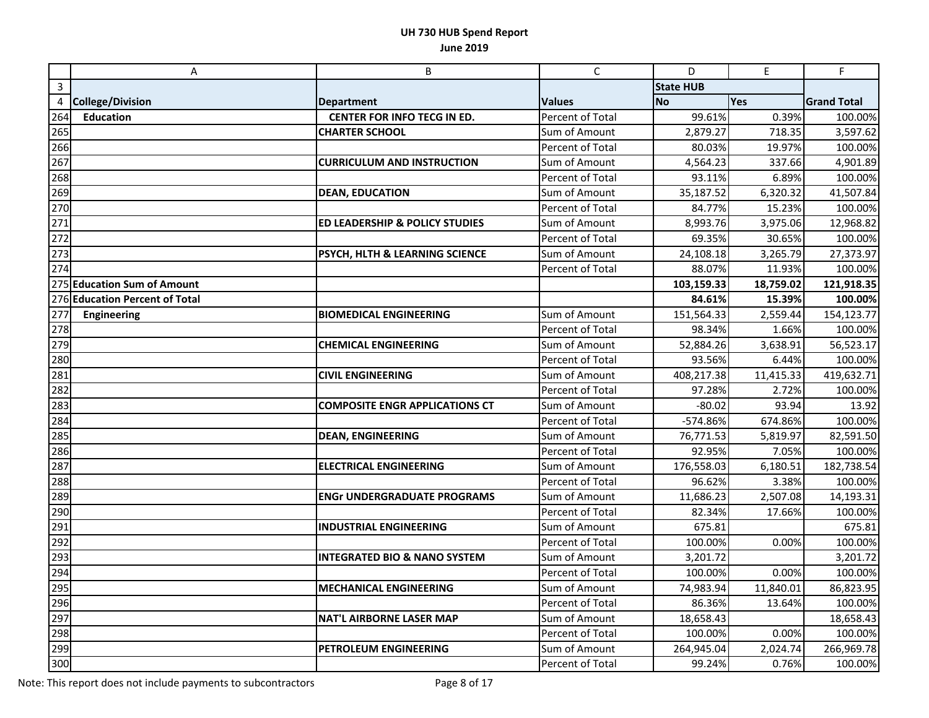|     | A                              | B                                       | $\mathsf{C}$            | D                | E         | F                  |
|-----|--------------------------------|-----------------------------------------|-------------------------|------------------|-----------|--------------------|
| 3   |                                |                                         |                         | <b>State HUB</b> |           |                    |
| 4   | <b>College/Division</b>        | <b>Department</b>                       | <b>Values</b>           | <b>No</b>        | Yes       | <b>Grand Total</b> |
| 264 | <b>Education</b>               | CENTER FOR INFO TECG IN ED.             | Percent of Total        | 99.61%           | 0.39%     | 100.00%            |
| 265 |                                | <b>CHARTER SCHOOL</b>                   | Sum of Amount           | 2,879.27         | 718.35    | 3,597.62           |
| 266 |                                |                                         | Percent of Total        | 80.03%           | 19.97%    | 100.00%            |
| 267 |                                | <b>CURRICULUM AND INSTRUCTION</b>       | Sum of Amount           | 4,564.23         | 337.66    | 4,901.89           |
| 268 |                                |                                         | Percent of Total        | 93.11%           | 6.89%     | 100.00%            |
| 269 |                                | <b>DEAN, EDUCATION</b>                  | Sum of Amount           | 35,187.52        | 6,320.32  | 41,507.84          |
| 270 |                                |                                         | Percent of Total        | 84.77%           | 15.23%    | 100.00%            |
| 271 |                                | ED LEADERSHIP & POLICY STUDIES          | Sum of Amount           | 8,993.76         | 3,975.06  | 12,968.82          |
| 272 |                                |                                         | Percent of Total        | 69.35%           | 30.65%    | 100.00%            |
| 273 |                                | PSYCH, HLTH & LEARNING SCIENCE          | Sum of Amount           | 24,108.18        | 3,265.79  | 27,373.97          |
| 274 |                                |                                         | Percent of Total        | 88.07%           | 11.93%    | 100.00%            |
|     | 275 Education Sum of Amount    |                                         |                         | 103,159.33       | 18,759.02 | 121,918.35         |
|     | 276 Education Percent of Total |                                         |                         | 84.61%           | 15.39%    | 100.00%            |
| 277 | <b>Engineering</b>             | <b>BIOMEDICAL ENGINEERING</b>           | Sum of Amount           | 151,564.33       | 2,559.44  | 154,123.77         |
| 278 |                                |                                         | <b>Percent of Total</b> | 98.34%           | 1.66%     | 100.00%            |
| 279 |                                | <b>CHEMICAL ENGINEERING</b>             | Sum of Amount           | 52,884.26        | 3,638.91  | 56,523.17          |
| 280 |                                |                                         | Percent of Total        | 93.56%           | 6.44%     | 100.00%            |
| 281 |                                | <b>CIVIL ENGINEERING</b>                | Sum of Amount           | 408,217.38       | 11,415.33 | 419,632.71         |
| 282 |                                |                                         | Percent of Total        | 97.28%           | 2.72%     | 100.00%            |
| 283 |                                | <b>COMPOSITE ENGR APPLICATIONS CT</b>   | Sum of Amount           | $-80.02$         | 93.94     | 13.92              |
| 284 |                                |                                         | Percent of Total        | -574.86%         | 674.86%   | 100.00%            |
| 285 |                                | <b>DEAN, ENGINEERING</b>                | Sum of Amount           | 76,771.53        | 5,819.97  | 82,591.50          |
| 286 |                                |                                         | Percent of Total        | 92.95%           | 7.05%     | 100.00%            |
| 287 |                                | <b>ELECTRICAL ENGINEERING</b>           | Sum of Amount           | 176,558.03       | 6,180.51  | 182,738.54         |
| 288 |                                |                                         | Percent of Total        | 96.62%           | 3.38%     | 100.00%            |
| 289 |                                | <b>ENGr UNDERGRADUATE PROGRAMS</b>      | Sum of Amount           | 11,686.23        | 2,507.08  | 14,193.31          |
| 290 |                                |                                         | Percent of Total        | 82.34%           | 17.66%    | 100.00%            |
| 291 |                                | <b>INDUSTRIAL ENGINEERING</b>           | Sum of Amount           | 675.81           |           | 675.81             |
| 292 |                                |                                         | Percent of Total        | 100.00%          | 0.00%     | 100.00%            |
| 293 |                                | <b>INTEGRATED BIO &amp; NANO SYSTEM</b> | Sum of Amount           | 3,201.72         |           | 3,201.72           |
| 294 |                                |                                         | Percent of Total        | 100.00%          | 0.00%     | 100.00%            |
| 295 |                                | <b>MECHANICAL ENGINEERING</b>           | Sum of Amount           | 74,983.94        | 11,840.01 | 86,823.95          |
| 296 |                                |                                         | Percent of Total        | 86.36%           | 13.64%    | 100.00%            |
| 297 |                                | <b>NAT'L AIRBORNE LASER MAP</b>         | Sum of Amount           | 18,658.43        |           | 18,658.43          |
| 298 |                                |                                         | Percent of Total        | 100.00%          | 0.00%     | 100.00%            |
| 299 |                                | PETROLEUM ENGINEERING                   | Sum of Amount           | 264,945.04       | 2,024.74  | 266,969.78         |
| 300 |                                |                                         | Percent of Total        | 99.24%           | 0.76%     | 100.00%            |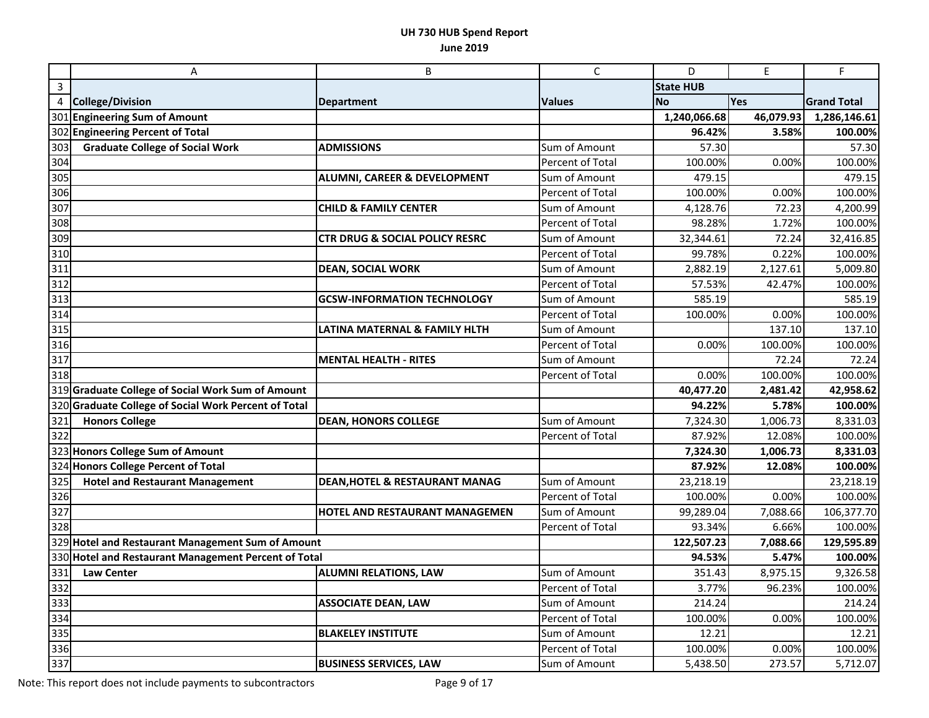|                | Α                                                    | B                                         | $\mathsf{C}$            | D                | $\mathsf E$ | F                  |
|----------------|------------------------------------------------------|-------------------------------------------|-------------------------|------------------|-------------|--------------------|
| 3              |                                                      |                                           |                         | <b>State HUB</b> |             |                    |
| $\overline{4}$ | <b>College/Division</b>                              | <b>Department</b>                         | <b>Values</b>           | <b>No</b>        | <b>Yes</b>  | <b>Grand Total</b> |
|                | 301 Engineering Sum of Amount                        |                                           |                         | 1,240,066.68     | 46,079.93   | 1,286,146.61       |
|                | 302 Engineering Percent of Total                     |                                           |                         | 96.42%           | 3.58%       | 100.00%            |
| 303            | <b>Graduate College of Social Work</b>               | <b>ADMISSIONS</b>                         | Sum of Amount           | 57.30            |             | 57.30              |
| 304            |                                                      |                                           | Percent of Total        | 100.00%          | 0.00%       | 100.00%            |
| 305            |                                                      | <b>ALUMNI, CAREER &amp; DEVELOPMENT</b>   | Sum of Amount           | 479.15           |             | 479.15             |
| 306            |                                                      |                                           | Percent of Total        | 100.00%          | 0.00%       | 100.00%            |
| 307            |                                                      | <b>CHILD &amp; FAMILY CENTER</b>          | Sum of Amount           | 4,128.76         | 72.23       | 4,200.99           |
| 308            |                                                      |                                           | Percent of Total        | 98.28%           | 1.72%       | 100.00%            |
| 309            |                                                      | <b>CTR DRUG &amp; SOCIAL POLICY RESRC</b> | Sum of Amount           | 32,344.61        | 72.24       | 32,416.85          |
| 310            |                                                      |                                           | Percent of Total        | 99.78%           | 0.22%       | 100.00%            |
| 311            |                                                      | <b>DEAN, SOCIAL WORK</b>                  | Sum of Amount           | 2,882.19         | 2,127.61    | 5,009.80           |
| 312            |                                                      |                                           | Percent of Total        | 57.53%           | 42.47%      | 100.00%            |
| 313            |                                                      | <b>GCSW-INFORMATION TECHNOLOGY</b>        | Sum of Amount           | 585.19           |             | 585.19             |
| 314            |                                                      |                                           | Percent of Total        | 100.00%          | 0.00%       | 100.00%            |
| 315            |                                                      | LATINA MATERNAL & FAMILY HLTH             | Sum of Amount           |                  | 137.10      | 137.10             |
| 316            |                                                      |                                           | Percent of Total        | 0.00%            | 100.00%     | 100.00%            |
| 317            |                                                      | <b>MENTAL HEALTH - RITES</b>              | Sum of Amount           |                  | 72.24       | 72.24              |
| 318            |                                                      |                                           | Percent of Total        | 0.00%            | 100.00%     | 100.00%            |
|                | 319 Graduate College of Social Work Sum of Amount    |                                           |                         | 40,477.20        | 2,481.42    | 42,958.62          |
|                | 320 Graduate College of Social Work Percent of Total |                                           |                         | 94.22%           | 5.78%       | 100.00%            |
| 321            | <b>Honors College</b>                                | <b>DEAN, HONORS COLLEGE</b>               | Sum of Amount           | 7,324.30         | 1,006.73    | 8,331.03           |
| 322            |                                                      |                                           | <b>Percent of Total</b> | 87.92%           | 12.08%      | 100.00%            |
|                | 323 Honors College Sum of Amount                     |                                           |                         | 7,324.30         | 1,006.73    | 8,331.03           |
|                | 324 Honors College Percent of Total                  |                                           |                         | 87.92%           | 12.08%      | 100.00%            |
| 325            | <b>Hotel and Restaurant Management</b>               | <b>DEAN, HOTEL &amp; RESTAURANT MANAG</b> | Sum of Amount           | 23,218.19        |             | 23,218.19          |
| 326            |                                                      |                                           | Percent of Total        | 100.00%          | 0.00%       | 100.00%            |
| 327            |                                                      | HOTEL AND RESTAURANT MANAGEMEN            | Sum of Amount           | 99,289.04        | 7,088.66    | 106,377.70         |
| 328            |                                                      |                                           | Percent of Total        | 93.34%           | 6.66%       | 100.00%            |
|                | 329 Hotel and Restaurant Management Sum of Amount    |                                           |                         | 122,507.23       | 7,088.66    | 129,595.89         |
|                | 330 Hotel and Restaurant Management Percent of Total |                                           |                         | 94.53%           | 5.47%       | 100.00%            |
| 331            | <b>Law Center</b>                                    | <b>ALUMNI RELATIONS, LAW</b>              | Sum of Amount           | 351.43           | 8,975.15    | 9,326.58           |
| 332            |                                                      |                                           | Percent of Total        | 3.77%            | 96.23%      | 100.00%            |
| 333            |                                                      | <b>ASSOCIATE DEAN, LAW</b>                | Sum of Amount           | 214.24           |             | 214.24             |
| 334            |                                                      |                                           | Percent of Total        | 100.00%          | 0.00%       | 100.00%            |
| 335            |                                                      | <b>BLAKELEY INSTITUTE</b>                 | Sum of Amount           | 12.21            |             | 12.21              |
| 336            |                                                      |                                           | <b>Percent of Total</b> | 100.00%          | 0.00%       | 100.00%            |
| 337            |                                                      | <b>BUSINESS SERVICES, LAW</b>             | Sum of Amount           | 5,438.50         | 273.57      | 5,712.07           |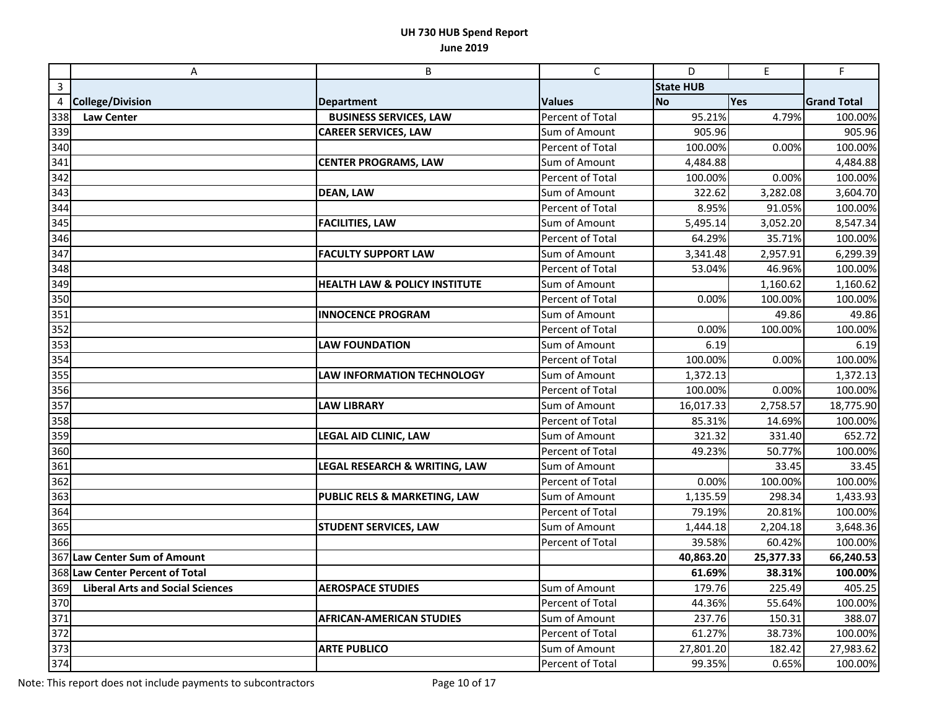|                | A                                       | B                                        | $\mathsf C$             | D                | $\mathsf E$ | F                  |
|----------------|-----------------------------------------|------------------------------------------|-------------------------|------------------|-------------|--------------------|
| $\overline{3}$ |                                         |                                          |                         | <b>State HUB</b> |             |                    |
| 4              | <b>College/Division</b>                 | <b>Department</b>                        | <b>Values</b>           | <b>No</b>        | Yes         | <b>Grand Total</b> |
| 338            | <b>Law Center</b>                       | <b>BUSINESS SERVICES, LAW</b>            | Percent of Total        | 95.21%           | 4.79%       | 100.00%            |
| 339            |                                         | <b>CAREER SERVICES, LAW</b>              | Sum of Amount           | 905.96           |             | 905.96             |
| 340            |                                         |                                          | Percent of Total        | 100.00%          | 0.00%       | 100.00%            |
| 341            |                                         | <b>CENTER PROGRAMS, LAW</b>              | Sum of Amount           | 4,484.88         |             | 4,484.88           |
| 342            |                                         |                                          | Percent of Total        | 100.00%          | 0.00%       | 100.00%            |
| 343            |                                         | <b>DEAN, LAW</b>                         | Sum of Amount           | 322.62           | 3,282.08    | 3,604.70           |
| 344            |                                         |                                          | Percent of Total        | 8.95%            | 91.05%      | 100.00%            |
| 345            |                                         | <b>FACILITIES, LAW</b>                   | Sum of Amount           | 5,495.14         | 3,052.20    | 8,547.34           |
| 346            |                                         |                                          | Percent of Total        | 64.29%           | 35.71%      | 100.00%            |
| 347            |                                         | <b>FACULTY SUPPORT LAW</b>               | Sum of Amount           | 3,341.48         | 2,957.91    | 6,299.39           |
| 348            |                                         |                                          | Percent of Total        | 53.04%           | 46.96%      | 100.00%            |
| 349            |                                         | <b>HEALTH LAW &amp; POLICY INSTITUTE</b> | Sum of Amount           |                  | 1,160.62    | 1,160.62           |
| 350            |                                         |                                          | Percent of Total        | 0.00%            | 100.00%     | 100.00%            |
| 351            |                                         | <b>INNOCENCE PROGRAM</b>                 | Sum of Amount           |                  | 49.86       | 49.86              |
| 352            |                                         |                                          | <b>Percent of Total</b> | 0.00%            | 100.00%     | 100.00%            |
| 353            |                                         | <b>LAW FOUNDATION</b>                    | Sum of Amount           | 6.19             |             | 6.19               |
| 354            |                                         |                                          | Percent of Total        | 100.00%          | 0.00%       | 100.00%            |
| 355            |                                         | LAW INFORMATION TECHNOLOGY               | Sum of Amount           | 1,372.13         |             | 1,372.13           |
| 356            |                                         |                                          | Percent of Total        | 100.00%          | 0.00%       | 100.00%            |
| 357            |                                         | <b>LAW LIBRARY</b>                       | Sum of Amount           | 16,017.33        | 2,758.57    | 18,775.90          |
| 358            |                                         |                                          | Percent of Total        | 85.31%           | 14.69%      | 100.00%            |
| 359            |                                         | LEGAL AID CLINIC, LAW                    | Sum of Amount           | 321.32           | 331.40      | 652.72             |
| 360            |                                         |                                          | Percent of Total        | 49.23%           | 50.77%      | 100.00%            |
| 361            |                                         | <b>LEGAL RESEARCH &amp; WRITING, LAW</b> | Sum of Amount           |                  | 33.45       | 33.45              |
| 362            |                                         |                                          | Percent of Total        | 0.00%            | 100.00%     | 100.00%            |
| 363            |                                         | PUBLIC RELS & MARKETING, LAW             | Sum of Amount           | 1,135.59         | 298.34      | 1,433.93           |
| 364            |                                         |                                          | Percent of Total        | 79.19%           | 20.81%      | 100.00%            |
| 365            |                                         | <b>STUDENT SERVICES, LAW</b>             | Sum of Amount           | 1,444.18         | 2,204.18    | 3,648.36           |
| 366            |                                         |                                          | Percent of Total        | 39.58%           | 60.42%      | 100.00%            |
|                | 367 Law Center Sum of Amount            |                                          |                         | 40,863.20        | 25,377.33   | 66,240.53          |
|                | 368 Law Center Percent of Total         |                                          |                         | 61.69%           | 38.31%      | 100.00%            |
| 369            | <b>Liberal Arts and Social Sciences</b> | <b>AEROSPACE STUDIES</b>                 | Sum of Amount           | 179.76           | 225.49      | 405.25             |
| 370            |                                         |                                          | Percent of Total        | 44.36%           | 55.64%      | 100.00%            |
| 371            |                                         | <b>AFRICAN-AMERICAN STUDIES</b>          | Sum of Amount           | 237.76           | 150.31      | 388.07             |
| 372            |                                         |                                          | Percent of Total        | 61.27%           | 38.73%      | 100.00%            |
| 373            |                                         | <b>ARTE PUBLICO</b>                      | Sum of Amount           | 27,801.20        | 182.42      | 27,983.62          |
| 374            |                                         |                                          | Percent of Total        | 99.35%           | 0.65%       | 100.00%            |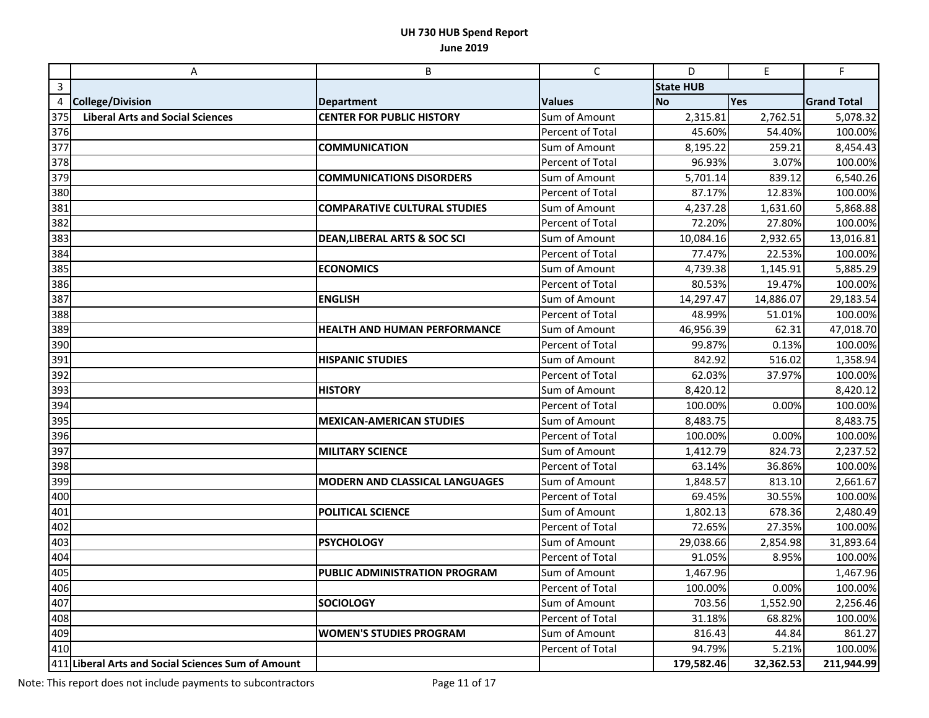|     | A                                                  | B                                       | $\mathsf{C}$     | D                | E         | F                  |
|-----|----------------------------------------------------|-----------------------------------------|------------------|------------------|-----------|--------------------|
| 3   |                                                    |                                         |                  | <b>State HUB</b> |           |                    |
| 4   | <b>College/Division</b>                            | <b>Department</b>                       | <b>Values</b>    | <b>No</b>        | Yes       | <b>Grand Total</b> |
| 375 | <b>Liberal Arts and Social Sciences</b>            | <b>CENTER FOR PUBLIC HISTORY</b>        | Sum of Amount    | 2,315.81         | 2,762.51  | 5,078.32           |
| 376 |                                                    |                                         | Percent of Total | 45.60%           | 54.40%    | 100.00%            |
| 377 |                                                    | <b>COMMUNICATION</b>                    | Sum of Amount    | 8,195.22         | 259.21    | 8,454.43           |
| 378 |                                                    |                                         | Percent of Total | 96.93%           | 3.07%     | 100.00%            |
| 379 |                                                    | <b>COMMUNICATIONS DISORDERS</b>         | Sum of Amount    | 5,701.14         | 839.12    | 6,540.26           |
| 380 |                                                    |                                         | Percent of Total | 87.17%           | 12.83%    | 100.00%            |
| 381 |                                                    | <b>COMPARATIVE CULTURAL STUDIES</b>     | Sum of Amount    | 4,237.28         | 1,631.60  | 5,868.88           |
| 382 |                                                    |                                         | Percent of Total | 72.20%           | 27.80%    | 100.00%            |
| 383 |                                                    | <b>DEAN, LIBERAL ARTS &amp; SOC SCI</b> | Sum of Amount    | 10,084.16        | 2,932.65  | 13,016.81          |
| 384 |                                                    |                                         | Percent of Total | 77.47%           | 22.53%    | 100.00%            |
| 385 |                                                    | <b>ECONOMICS</b>                        | Sum of Amount    | 4,739.38         | 1,145.91  | 5,885.29           |
| 386 |                                                    |                                         | Percent of Total | 80.53%           | 19.47%    | 100.00%            |
| 387 |                                                    | <b>ENGLISH</b>                          | Sum of Amount    | 14,297.47        | 14,886.07 | 29,183.54          |
| 388 |                                                    |                                         | Percent of Total | 48.99%           | 51.01%    | 100.00%            |
| 389 |                                                    | <b>HEALTH AND HUMAN PERFORMANCE</b>     | Sum of Amount    | 46,956.39        | 62.31     | 47,018.70          |
| 390 |                                                    |                                         | Percent of Total | 99.87%           | 0.13%     | 100.00%            |
| 391 |                                                    | <b>HISPANIC STUDIES</b>                 | Sum of Amount    | 842.92           | 516.02    | 1,358.94           |
| 392 |                                                    |                                         | Percent of Total | 62.03%           | 37.97%    | 100.00%            |
| 393 |                                                    | <b>HISTORY</b>                          | Sum of Amount    | 8,420.12         |           | 8,420.12           |
| 394 |                                                    |                                         | Percent of Total | 100.00%          | 0.00%     | 100.00%            |
| 395 |                                                    | <b>MEXICAN-AMERICAN STUDIES</b>         | Sum of Amount    | 8,483.75         |           | 8,483.75           |
| 396 |                                                    |                                         | Percent of Total | 100.00%          | 0.00%     | 100.00%            |
| 397 |                                                    | <b>MILITARY SCIENCE</b>                 | Sum of Amount    | 1,412.79         | 824.73    | 2,237.52           |
| 398 |                                                    |                                         | Percent of Total | 63.14%           | 36.86%    | 100.00%            |
| 399 |                                                    | MODERN AND CLASSICAL LANGUAGES          | Sum of Amount    | 1,848.57         | 813.10    | 2,661.67           |
| 400 |                                                    |                                         | Percent of Total | 69.45%           | 30.55%    | 100.00%            |
| 401 |                                                    | POLITICAL SCIENCE                       | Sum of Amount    | 1,802.13         | 678.36    | 2,480.49           |
| 402 |                                                    |                                         | Percent of Total | 72.65%           | 27.35%    | 100.00%            |
| 403 |                                                    | <b>PSYCHOLOGY</b>                       | Sum of Amount    | 29,038.66        | 2,854.98  | 31,893.64          |
| 404 |                                                    |                                         | Percent of Total | 91.05%           | 8.95%     | 100.00%            |
| 405 |                                                    | <b>PUBLIC ADMINISTRATION PROGRAM</b>    | Sum of Amount    | 1,467.96         |           | 1,467.96           |
| 406 |                                                    |                                         | Percent of Total | 100.00%          | 0.00%     | 100.00%            |
| 407 |                                                    | <b>SOCIOLOGY</b>                        | Sum of Amount    | 703.56           | 1,552.90  | 2,256.46           |
| 408 |                                                    |                                         | Percent of Total | 31.18%           | 68.82%    | 100.00%            |
| 409 |                                                    | <b>WOMEN'S STUDIES PROGRAM</b>          | Sum of Amount    | 816.43           | 44.84     | 861.27             |
| 410 |                                                    |                                         | Percent of Total | 94.79%           | 5.21%     | 100.00%            |
|     | 411 Liberal Arts and Social Sciences Sum of Amount |                                         |                  | 179,582.46       | 32,362.53 | 211,944.99         |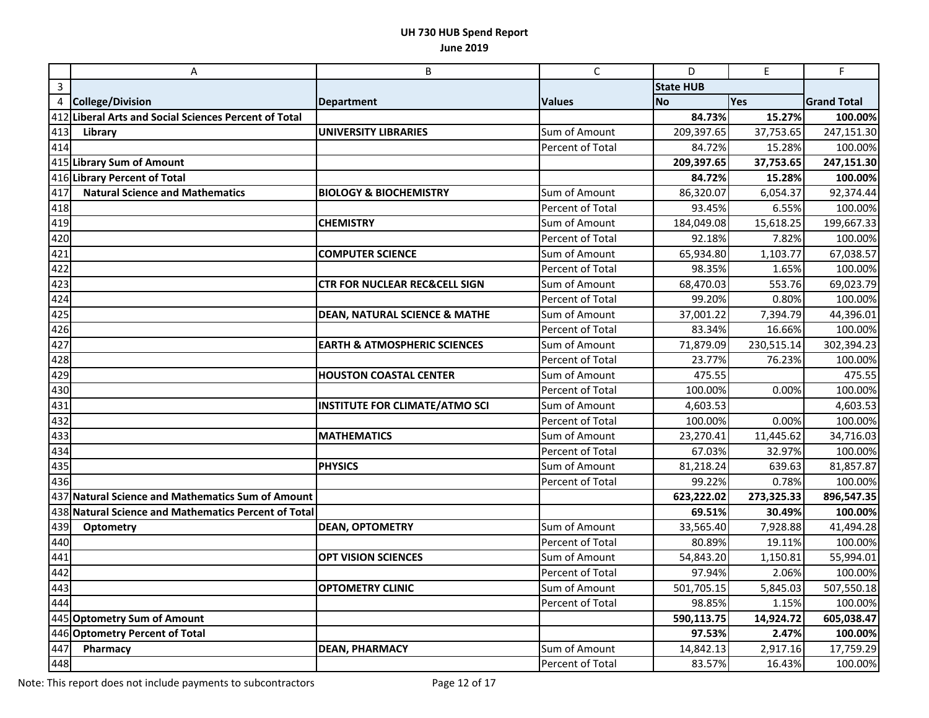|                  | $\boldsymbol{\mathsf{A}}$                             | B                                        | $\mathsf{C}$            | D                | $\mathsf E$ | F                  |
|------------------|-------------------------------------------------------|------------------------------------------|-------------------------|------------------|-------------|--------------------|
| $\overline{3}$   |                                                       |                                          |                         | <b>State HUB</b> |             |                    |
| $\overline{4}$   | <b>College/Division</b>                               | <b>Department</b>                        | <b>Values</b>           | <b>No</b>        | Yes         | <b>Grand Total</b> |
|                  | 412 Liberal Arts and Social Sciences Percent of Total |                                          |                         | 84.73%           | 15.27%      | 100.00%            |
| 413              | Library                                               | <b>UNIVERSITY LIBRARIES</b>              | Sum of Amount           | 209,397.65       | 37,753.65   | 247,151.30         |
| 414              |                                                       |                                          | Percent of Total        | 84.72%           | 15.28%      | 100.00%            |
|                  | 415 Library Sum of Amount                             |                                          |                         | 209,397.65       | 37,753.65   | 247,151.30         |
|                  | 416 Library Percent of Total                          |                                          |                         | 84.72%           | 15.28%      | 100.00%            |
| 417              | <b>Natural Science and Mathematics</b>                | <b>BIOLOGY &amp; BIOCHEMISTRY</b>        | Sum of Amount           | 86,320.07        | 6,054.37    | 92,374.44          |
| 418              |                                                       |                                          | Percent of Total        | 93.45%           | 6.55%       | 100.00%            |
| 419              |                                                       | <b>CHEMISTRY</b>                         | Sum of Amount           | 184,049.08       | 15,618.25   | 199,667.33         |
| 420              |                                                       |                                          | Percent of Total        | 92.18%           | 7.82%       | 100.00%            |
| 421              |                                                       | <b>COMPUTER SCIENCE</b>                  | Sum of Amount           | 65,934.80        | 1,103.77    | 67,038.57          |
| 422              |                                                       |                                          | Percent of Total        | 98.35%           | 1.65%       | 100.00%            |
| 423              |                                                       | <b>CTR FOR NUCLEAR REC&amp;CELL SIGN</b> | Sum of Amount           | 68,470.03        | 553.76      | 69,023.79          |
| 424              |                                                       |                                          | Percent of Total        | 99.20%           | 0.80%       | 100.00%            |
| 425              |                                                       | <b>DEAN, NATURAL SCIENCE &amp; MATHE</b> | Sum of Amount           | 37,001.22        | 7,394.79    | 44,396.01          |
| 426              |                                                       |                                          | Percent of Total        | 83.34%           | 16.66%      | 100.00%            |
| 427              |                                                       | <b>EARTH &amp; ATMOSPHERIC SCIENCES</b>  | Sum of Amount           | 71,879.09        | 230,515.14  | 302,394.23         |
| 428              |                                                       |                                          | Percent of Total        | 23.77%           | 76.23%      | 100.00%            |
| 429              |                                                       | <b>HOUSTON COASTAL CENTER</b>            | Sum of Amount           | 475.55           |             | 475.55             |
| 430              |                                                       |                                          | Percent of Total        | 100.00%          | 0.00%       | 100.00%            |
| 431              |                                                       | <b>INSTITUTE FOR CLIMATE/ATMO SCI</b>    | Sum of Amount           | 4,603.53         |             | 4,603.53           |
| $\overline{4}32$ |                                                       |                                          | Percent of Total        | 100.00%          | 0.00%       | 100.00%            |
| 433              |                                                       | <b>MATHEMATICS</b>                       | Sum of Amount           | 23,270.41        | 11,445.62   | 34,716.03          |
| 434              |                                                       |                                          | Percent of Total        | 67.03%           | 32.97%      | 100.00%            |
| 435              |                                                       | <b>PHYSICS</b>                           | Sum of Amount           | 81,218.24        | 639.63      | 81,857.87          |
| 436              |                                                       |                                          | Percent of Total        | 99.22%           | 0.78%       | 100.00%            |
|                  | 437 Natural Science and Mathematics Sum of Amount     |                                          |                         | 623,222.02       | 273,325.33  | 896,547.35         |
|                  | 438 Natural Science and Mathematics Percent of Total  |                                          |                         | 69.51%           | 30.49%      | 100.00%            |
| 439              | Optometry                                             | <b>DEAN, OPTOMETRY</b>                   | Sum of Amount           | 33,565.40        | 7,928.88    | 41,494.28          |
| 440              |                                                       |                                          | <b>Percent of Total</b> | 80.89%           | 19.11%      | 100.00%            |
| 441              |                                                       | <b>OPT VISION SCIENCES</b>               | Sum of Amount           | 54,843.20        | 1,150.81    | 55,994.01          |
| 442              |                                                       |                                          | Percent of Total        | 97.94%           | 2.06%       | 100.00%            |
| 443              |                                                       | <b>OPTOMETRY CLINIC</b>                  | Sum of Amount           | 501,705.15       | 5,845.03    | 507,550.18         |
| 444              |                                                       |                                          | Percent of Total        | 98.85%           | 1.15%       | 100.00%            |
|                  | 445 Optometry Sum of Amount                           |                                          |                         | 590,113.75       | 14,924.72   | 605,038.47         |
|                  | 446 Optometry Percent of Total                        |                                          |                         | 97.53%           | 2.47%       | 100.00%            |
| 447              | Pharmacy                                              | <b>DEAN, PHARMACY</b>                    | Sum of Amount           | 14,842.13        | 2,917.16    | 17,759.29          |
| 448              |                                                       |                                          | Percent of Total        | 83.57%           | 16.43%      | 100.00%            |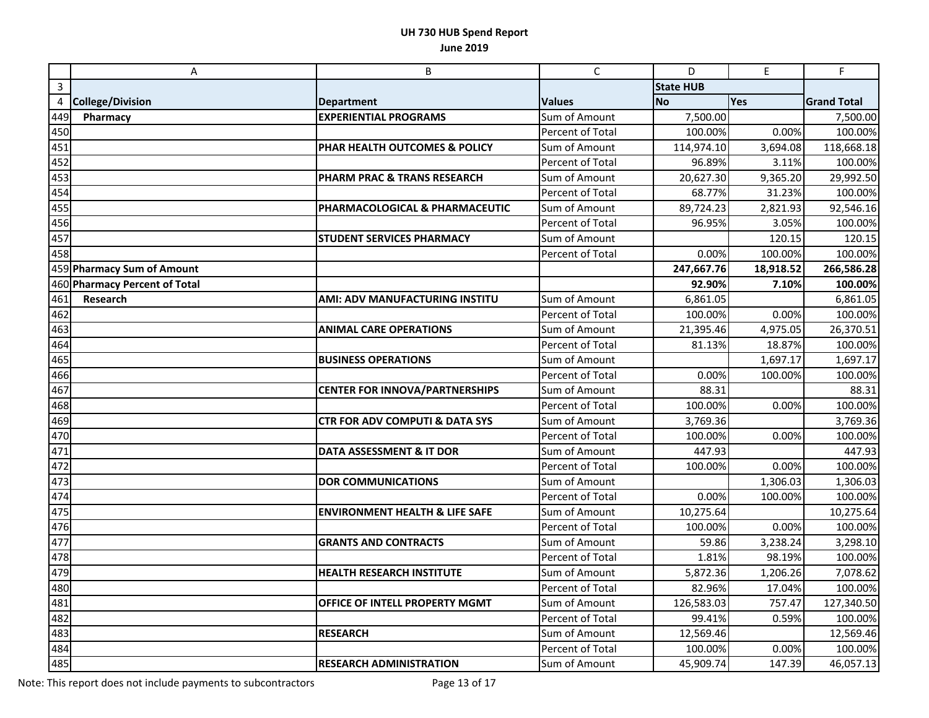|              | A                             | B                                         | $\mathsf C$             | D                | $\mathsf E$ | $\mathsf F$        |
|--------------|-------------------------------|-------------------------------------------|-------------------------|------------------|-------------|--------------------|
| $\mathbf{3}$ |                               |                                           |                         | <b>State HUB</b> |             |                    |
| 4            | <b>College/Division</b>       | <b>Department</b>                         | <b>Values</b>           | <b>No</b>        | <b>Yes</b>  | <b>Grand Total</b> |
| 449          | Pharmacy                      | <b>EXPERIENTIAL PROGRAMS</b>              | Sum of Amount           | 7,500.00         |             | 7,500.00           |
| 450          |                               |                                           | Percent of Total        | 100.00%          | 0.00%       | 100.00%            |
| 451          |                               | PHAR HEALTH OUTCOMES & POLICY             | Sum of Amount           | 114,974.10       | 3,694.08    | 118,668.18         |
| 452          |                               |                                           | <b>Percent of Total</b> | 96.89%           | 3.11%       | 100.00%            |
| 453          |                               | <b>PHARM PRAC &amp; TRANS RESEARCH</b>    | Sum of Amount           | 20,627.30        | 9,365.20    | 29,992.50          |
| 454          |                               |                                           | Percent of Total        | 68.77%           | 31.23%      | 100.00%            |
| 455          |                               | PHARMACOLOGICAL & PHARMACEUTIC            | Sum of Amount           | 89,724.23        | 2,821.93    | 92,546.16          |
| 456          |                               |                                           | Percent of Total        | 96.95%           | 3.05%       | 100.00%            |
| 457          |                               | <b>STUDENT SERVICES PHARMACY</b>          | Sum of Amount           |                  | 120.15      | 120.15             |
| 458          |                               |                                           | Percent of Total        | 0.00%            | 100.00%     | 100.00%            |
|              | 459 Pharmacy Sum of Amount    |                                           |                         | 247,667.76       | 18,918.52   | 266,586.28         |
|              | 460 Pharmacy Percent of Total |                                           |                         | 92.90%           | 7.10%       | 100.00%            |
| 461          | Research                      | <b>AMI: ADV MANUFACTURING INSTITU</b>     | Sum of Amount           | 6,861.05         |             | 6,861.05           |
| 462          |                               |                                           | Percent of Total        | 100.00%          | 0.00%       | 100.00%            |
| 463          |                               | <b>ANIMAL CARE OPERATIONS</b>             | Sum of Amount           | 21,395.46        | 4,975.05    | 26,370.51          |
| 464          |                               |                                           | Percent of Total        | 81.13%           | 18.87%      | 100.00%            |
| 465          |                               | <b>BUSINESS OPERATIONS</b>                | Sum of Amount           |                  | 1,697.17    | 1,697.17           |
| 466          |                               |                                           | Percent of Total        | 0.00%            | 100.00%     | 100.00%            |
| 467          |                               | <b>CENTER FOR INNOVA/PARTNERSHIPS</b>     | Sum of Amount           | 88.31            |             | 88.31              |
| 468          |                               |                                           | Percent of Total        | 100.00%          | 0.00%       | 100.00%            |
| 469          |                               | <b>CTR FOR ADV COMPUTI &amp; DATA SYS</b> | Sum of Amount           | 3,769.36         |             | 3,769.36           |
| 470          |                               |                                           | Percent of Total        | 100.00%          | 0.00%       | 100.00%            |
| 471          |                               | DATA ASSESSMENT & IT DOR                  | Sum of Amount           | 447.93           |             | 447.93             |
| 472          |                               |                                           | Percent of Total        | 100.00%          | 0.00%       | 100.00%            |
| 473          |                               | <b>DOR COMMUNICATIONS</b>                 | Sum of Amount           |                  | 1,306.03    | 1,306.03           |
| 474          |                               |                                           | Percent of Total        | 0.00%            | 100.00%     | 100.00%            |
| 475          |                               | <b>ENVIRONMENT HEALTH &amp; LIFE SAFE</b> | Sum of Amount           | 10,275.64        |             | 10,275.64          |
| 476          |                               |                                           | Percent of Total        | 100.00%          | 0.00%       | 100.00%            |
| 477          |                               | <b>GRANTS AND CONTRACTS</b>               | Sum of Amount           | 59.86            | 3,238.24    | 3,298.10           |
| 478          |                               |                                           | Percent of Total        | 1.81%            | 98.19%      | 100.00%            |
| 479          |                               | <b>HEALTH RESEARCH INSTITUTE</b>          | Sum of Amount           | 5,872.36         | 1,206.26    | 7,078.62           |
| 480          |                               |                                           | Percent of Total        | 82.96%           | 17.04%      | 100.00%            |
| 481          |                               | OFFICE OF INTELL PROPERTY MGMT            | Sum of Amount           | 126,583.03       | 757.47      | 127,340.50         |
| 482          |                               |                                           | Percent of Total        | 99.41%           | 0.59%       | 100.00%            |
| 483          |                               | <b>RESEARCH</b>                           | Sum of Amount           | 12,569.46        |             | 12,569.46          |
| 484          |                               |                                           | Percent of Total        | 100.00%          | 0.00%       | 100.00%            |
| 485          |                               | <b>RESEARCH ADMINISTRATION</b>            | Sum of Amount           | 45,909.74        | 147.39      | 46,057.13          |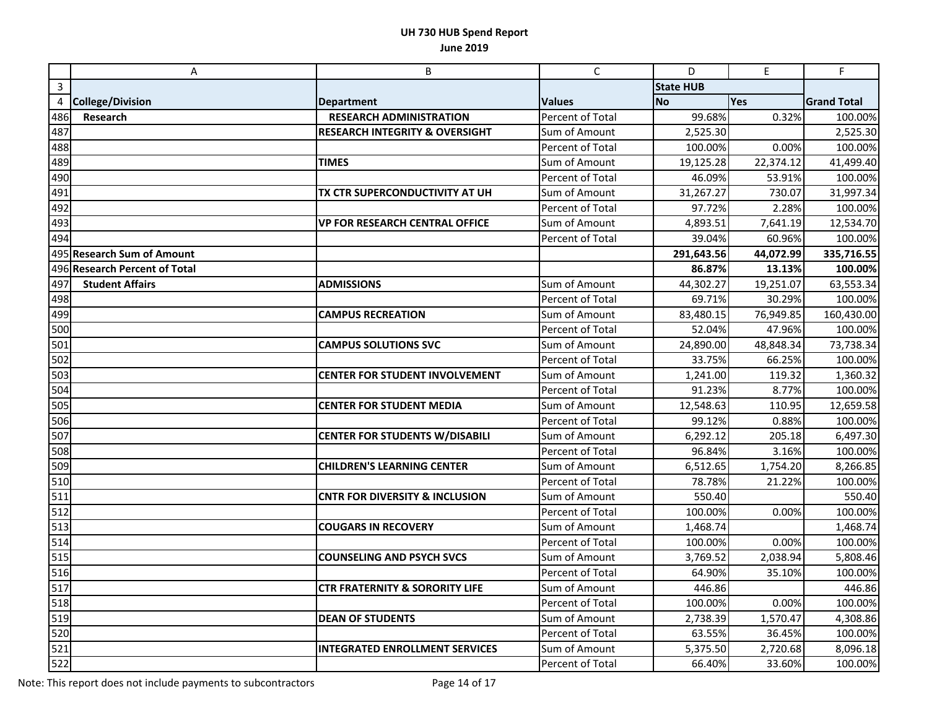|     | A                             | B                                         | $\mathsf{C}$            | D                | E         | F                  |
|-----|-------------------------------|-------------------------------------------|-------------------------|------------------|-----------|--------------------|
| 3   |                               |                                           |                         | <b>State HUB</b> |           |                    |
| 4   | <b>College/Division</b>       | <b>Department</b>                         | <b>Values</b>           | <b>No</b>        | Yes       | <b>Grand Total</b> |
| 486 | Research                      | <b>RESEARCH ADMINISTRATION</b>            | Percent of Total        | 99.68%           | 0.32%     | 100.00%            |
| 487 |                               | <b>RESEARCH INTEGRITY &amp; OVERSIGHT</b> | Sum of Amount           | 2,525.30         |           | 2,525.30           |
| 488 |                               |                                           | Percent of Total        | 100.00%          | 0.00%     | 100.00%            |
| 489 |                               | <b>TIMES</b>                              | Sum of Amount           | 19,125.28        | 22,374.12 | 41,499.40          |
| 490 |                               |                                           | Percent of Total        | 46.09%           | 53.91%    | 100.00%            |
| 491 |                               | TX CTR SUPERCONDUCTIVITY AT UH            | Sum of Amount           | 31,267.27        | 730.07    | 31,997.34          |
| 492 |                               |                                           | Percent of Total        | 97.72%           | 2.28%     | 100.00%            |
| 493 |                               | <b>VP FOR RESEARCH CENTRAL OFFICE</b>     | Sum of Amount           | 4,893.51         | 7,641.19  | 12,534.70          |
| 494 |                               |                                           | <b>Percent of Total</b> | 39.04%           | 60.96%    | 100.00%            |
|     | 495 Research Sum of Amount    |                                           |                         | 291,643.56       | 44,072.99 | 335,716.55         |
|     | 496 Research Percent of Total |                                           |                         | 86.87%           | 13.13%    | 100.00%            |
| 497 | <b>Student Affairs</b>        | <b>ADMISSIONS</b>                         | Sum of Amount           | 44,302.27        | 19,251.07 | 63,553.34          |
| 498 |                               |                                           | Percent of Total        | 69.71%           | 30.29%    | 100.00%            |
| 499 |                               | <b>CAMPUS RECREATION</b>                  | Sum of Amount           | 83,480.15        | 76,949.85 | 160,430.00         |
| 500 |                               |                                           | Percent of Total        | 52.04%           | 47.96%    | 100.00%            |
| 501 |                               | <b>CAMPUS SOLUTIONS SVC</b>               | Sum of Amount           | 24,890.00        | 48,848.34 | 73,738.34          |
| 502 |                               |                                           | Percent of Total        | 33.75%           | 66.25%    | 100.00%            |
| 503 |                               | <b>CENTER FOR STUDENT INVOLVEMENT</b>     | Sum of Amount           | 1,241.00         | 119.32    | 1,360.32           |
| 504 |                               |                                           | Percent of Total        | 91.23%           | 8.77%     | 100.00%            |
| 505 |                               | <b>CENTER FOR STUDENT MEDIA</b>           | Sum of Amount           | 12,548.63        | 110.95    | 12,659.58          |
| 506 |                               |                                           | Percent of Total        | 99.12%           | 0.88%     | 100.00%            |
| 507 |                               | <b>CENTER FOR STUDENTS W/DISABILI</b>     | Sum of Amount           | 6,292.12         | 205.18    | 6,497.30           |
| 508 |                               |                                           | Percent of Total        | 96.84%           | 3.16%     | 100.00%            |
| 509 |                               | <b>CHILDREN'S LEARNING CENTER</b>         | Sum of Amount           | 6,512.65         | 1,754.20  | 8,266.85           |
| 510 |                               |                                           | Percent of Total        | 78.78%           | 21.22%    | 100.00%            |
| 511 |                               | <b>CNTR FOR DIVERSITY &amp; INCLUSION</b> | Sum of Amount           | 550.40           |           | 550.40             |
| 512 |                               |                                           | Percent of Total        | 100.00%          | 0.00%     | 100.00%            |
| 513 |                               | <b>COUGARS IN RECOVERY</b>                | Sum of Amount           | 1,468.74         |           | 1,468.74           |
| 514 |                               |                                           | Percent of Total        | 100.00%          | 0.00%     | 100.00%            |
| 515 |                               | <b>COUNSELING AND PSYCH SVCS</b>          | Sum of Amount           | 3,769.52         | 2,038.94  | 5,808.46           |
| 516 |                               |                                           | Percent of Total        | 64.90%           | 35.10%    | 100.00%            |
| 517 |                               | <b>CTR FRATERNITY &amp; SORORITY LIFE</b> | Sum of Amount           | 446.86           |           | 446.86             |
| 518 |                               |                                           | Percent of Total        | 100.00%          | 0.00%     | 100.00%            |
| 519 |                               | <b>DEAN OF STUDENTS</b>                   | Sum of Amount           | 2,738.39         | 1,570.47  | 4,308.86           |
| 520 |                               |                                           | Percent of Total        | 63.55%           | 36.45%    | 100.00%            |
| 521 |                               | <b>INTEGRATED ENROLLMENT SERVICES</b>     | Sum of Amount           | 5,375.50         | 2,720.68  | 8,096.18           |
| 522 |                               |                                           | Percent of Total        | 66.40%           | 33.60%    | 100.00%            |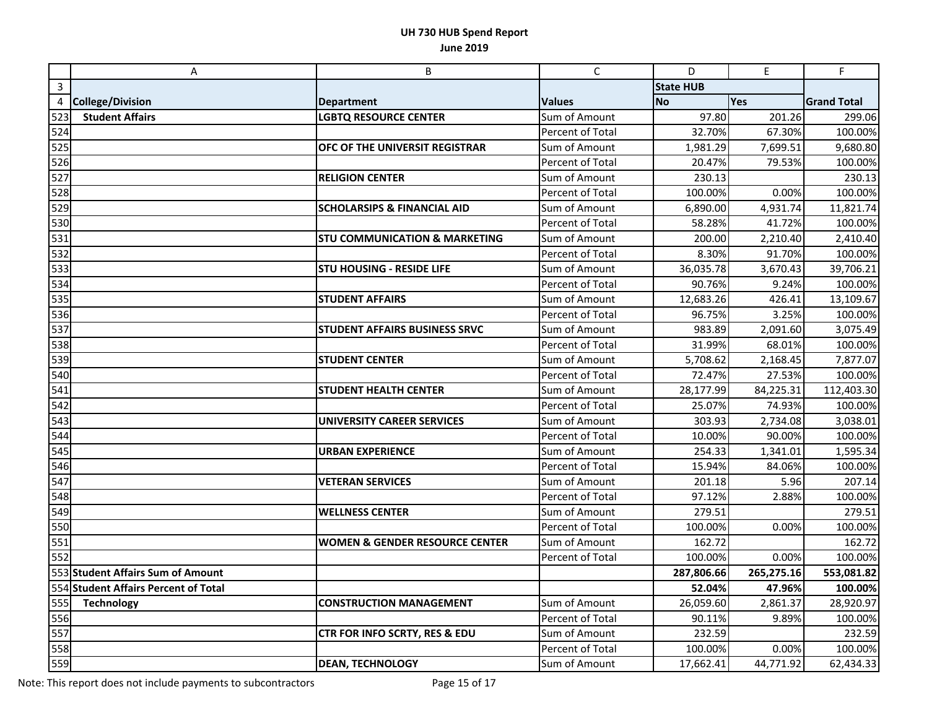|     | A                                    | B                                         | $\mathsf{C}$     | D                | $\mathsf E$ | F                  |
|-----|--------------------------------------|-------------------------------------------|------------------|------------------|-------------|--------------------|
| 3   |                                      |                                           |                  | <b>State HUB</b> |             |                    |
| 4   | <b>College/Division</b>              | <b>Department</b>                         | <b>Values</b>    | <b>No</b>        | Yes         | <b>Grand Total</b> |
| 523 | <b>Student Affairs</b>               | <b>LGBTQ RESOURCE CENTER</b>              | Sum of Amount    | 97.80            | 201.26      | 299.06             |
| 524 |                                      |                                           | Percent of Total | 32.70%           | 67.30%      | 100.00%            |
| 525 |                                      | OFC OF THE UNIVERSIT REGISTRAR            | Sum of Amount    | 1,981.29         | 7,699.51    | 9,680.80           |
| 526 |                                      |                                           | Percent of Total | 20.47%           | 79.53%      | 100.00%            |
| 527 |                                      | <b>RELIGION CENTER</b>                    | Sum of Amount    | 230.13           |             | 230.13             |
| 528 |                                      |                                           | Percent of Total | 100.00%          | 0.00%       | 100.00%            |
| 529 |                                      | <b>SCHOLARSIPS &amp; FINANCIAL AID</b>    | Sum of Amount    | 6,890.00         | 4,931.74    | 11,821.74          |
| 530 |                                      |                                           | Percent of Total | 58.28%           | 41.72%      | 100.00%            |
| 531 |                                      | <b>STU COMMUNICATION &amp; MARKETING</b>  | Sum of Amount    | 200.00           | 2,210.40    | 2,410.40           |
| 532 |                                      |                                           | Percent of Total | 8.30%            | 91.70%      | 100.00%            |
| 533 |                                      | <b>STU HOUSING - RESIDE LIFE</b>          | Sum of Amount    | 36,035.78        | 3,670.43    | 39,706.21          |
| 534 |                                      |                                           | Percent of Total | 90.76%           | 9.24%       | 100.00%            |
| 535 |                                      | <b>STUDENT AFFAIRS</b>                    | Sum of Amount    | 12,683.26        | 426.41      | 13,109.67          |
| 536 |                                      |                                           | Percent of Total | 96.75%           | 3.25%       | 100.00%            |
| 537 |                                      | <b>STUDENT AFFAIRS BUSINESS SRVC</b>      | Sum of Amount    | 983.89           | 2,091.60    | 3,075.49           |
| 538 |                                      |                                           | Percent of Total | 31.99%           | 68.01%      | 100.00%            |
| 539 |                                      | <b>STUDENT CENTER</b>                     | Sum of Amount    | 5,708.62         | 2,168.45    | 7,877.07           |
| 540 |                                      |                                           | Percent of Total | 72.47%           | 27.53%      | 100.00%            |
| 541 |                                      | <b>STUDENT HEALTH CENTER</b>              | Sum of Amount    | 28,177.99        | 84,225.31   | 112,403.30         |
| 542 |                                      |                                           | Percent of Total | 25.07%           | 74.93%      | 100.00%            |
| 543 |                                      | UNIVERSITY CAREER SERVICES                | Sum of Amount    | 303.93           | 2,734.08    | 3,038.01           |
| 544 |                                      |                                           | Percent of Total | 10.00%           | 90.00%      | 100.00%            |
| 545 |                                      | <b>URBAN EXPERIENCE</b>                   | Sum of Amount    | 254.33           | 1,341.01    | 1,595.34           |
| 546 |                                      |                                           | Percent of Total | 15.94%           | 84.06%      | 100.00%            |
| 547 |                                      | <b>VETERAN SERVICES</b>                   | Sum of Amount    | 201.18           | 5.96        | 207.14             |
| 548 |                                      |                                           | Percent of Total | 97.12%           | 2.88%       | 100.00%            |
| 549 |                                      | <b>WELLNESS CENTER</b>                    | Sum of Amount    | 279.51           |             | 279.51             |
| 550 |                                      |                                           | Percent of Total | 100.00%          | 0.00%       | 100.00%            |
| 551 |                                      | <b>WOMEN &amp; GENDER RESOURCE CENTER</b> | Sum of Amount    | 162.72           |             | 162.72             |
| 552 |                                      |                                           | Percent of Total | 100.00%          | 0.00%       | 100.00%            |
|     | 553 Student Affairs Sum of Amount    |                                           |                  | 287,806.66       | 265,275.16  | 553,081.82         |
|     | 554 Student Affairs Percent of Total |                                           |                  | 52.04%           | 47.96%      | 100.00%            |
| 555 | <b>Technology</b>                    | <b>CONSTRUCTION MANAGEMENT</b>            | Sum of Amount    | 26,059.60        | 2,861.37    | 28,920.97          |
| 556 |                                      |                                           | Percent of Total | 90.11%           | 9.89%       | 100.00%            |
| 557 |                                      | CTR FOR INFO SCRTY, RES & EDU             | Sum of Amount    | 232.59           |             | 232.59             |
| 558 |                                      |                                           | Percent of Total | 100.00%          | 0.00%       | 100.00%            |
| 559 |                                      | <b>DEAN, TECHNOLOGY</b>                   | Sum of Amount    | 17,662.41        | 44,771.92   | 62,434.33          |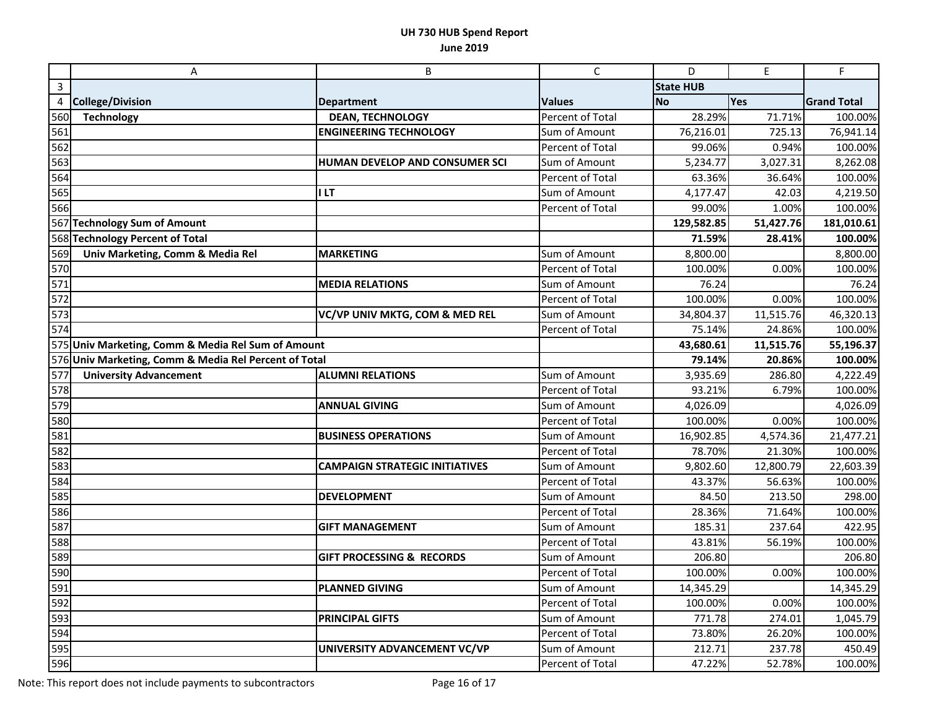|     | A                                                     | B                                     | $\mathsf{C}$            | D                | E         | F                  |
|-----|-------------------------------------------------------|---------------------------------------|-------------------------|------------------|-----------|--------------------|
| 3   |                                                       |                                       |                         | <b>State HUB</b> |           |                    |
| 4   | <b>College/Division</b>                               | <b>Department</b>                     | <b>Values</b>           | <b>No</b>        | Yes       | <b>Grand Total</b> |
| 560 | <b>Technology</b>                                     | <b>DEAN, TECHNOLOGY</b>               | Percent of Total        | 28.29%           | 71.71%    | 100.00%            |
| 561 |                                                       | <b>ENGINEERING TECHNOLOGY</b>         | Sum of Amount           | 76,216.01        | 725.13    | 76,941.14          |
| 562 |                                                       |                                       | Percent of Total        | 99.06%           | 0.94%     | 100.00%            |
| 563 |                                                       | HUMAN DEVELOP AND CONSUMER SCI        | Sum of Amount           | 5,234.77         | 3,027.31  | 8,262.08           |
| 564 |                                                       |                                       | Percent of Total        | 63.36%           | 36.64%    | 100.00%            |
| 565 |                                                       | <b>ILT</b>                            | Sum of Amount           | 4,177.47         | 42.03     | 4,219.50           |
| 566 |                                                       |                                       | Percent of Total        | 99.00%           | 1.00%     | 100.00%            |
|     | 567 Technology Sum of Amount                          |                                       |                         | 129,582.85       | 51,427.76 | 181,010.61         |
|     | 568 Technology Percent of Total                       |                                       |                         | 71.59%           | 28.41%    | 100.00%            |
| 569 | Univ Marketing, Comm & Media Rel                      | <b>MARKETING</b>                      | Sum of Amount           | 8,800.00         |           | 8,800.00           |
| 570 |                                                       |                                       | Percent of Total        | 100.00%          | 0.00%     | 100.00%            |
| 571 |                                                       | <b>MEDIA RELATIONS</b>                | Sum of Amount           | 76.24            |           | 76.24              |
| 572 |                                                       |                                       | Percent of Total        | 100.00%          | 0.00%     | 100.00%            |
| 573 |                                                       | VC/VP UNIV MKTG, COM & MED REL        | Sum of Amount           | 34,804.37        | 11,515.76 | 46,320.13          |
| 574 |                                                       |                                       | <b>Percent of Total</b> | 75.14%           | 24.86%    | 100.00%            |
|     | 575 Univ Marketing, Comm & Media Rel Sum of Amount    |                                       |                         | 43,680.61        | 11,515.76 | 55,196.37          |
|     | 576 Univ Marketing, Comm & Media Rel Percent of Total |                                       |                         | 79.14%           | 20.86%    | 100.00%            |
| 577 | <b>University Advancement</b>                         | <b>ALUMNI RELATIONS</b>               | Sum of Amount           | 3,935.69         | 286.80    | 4,222.49           |
| 578 |                                                       |                                       | Percent of Total        | 93.21%           | 6.79%     | 100.00%            |
| 579 |                                                       | <b>ANNUAL GIVING</b>                  | Sum of Amount           | 4,026.09         |           | 4,026.09           |
| 580 |                                                       |                                       | Percent of Total        | 100.00%          | 0.00%     | 100.00%            |
| 581 |                                                       | <b>BUSINESS OPERATIONS</b>            | Sum of Amount           | 16,902.85        | 4,574.36  | 21,477.21          |
| 582 |                                                       |                                       | Percent of Total        | 78.70%           | 21.30%    | 100.00%            |
| 583 |                                                       | <b>CAMPAIGN STRATEGIC INITIATIVES</b> | Sum of Amount           | 9,802.60         | 12,800.79 | 22,603.39          |
| 584 |                                                       |                                       | Percent of Total        | 43.37%           | 56.63%    | 100.00%            |
| 585 |                                                       | <b>DEVELOPMENT</b>                    | Sum of Amount           | 84.50            | 213.50    | 298.00             |
| 586 |                                                       |                                       | Percent of Total        | 28.36%           | 71.64%    | 100.00%            |
| 587 |                                                       | <b>GIFT MANAGEMENT</b>                | Sum of Amount           | 185.31           | 237.64    | 422.95             |
| 588 |                                                       |                                       | Percent of Total        | 43.81%           | 56.19%    | 100.00%            |
| 589 |                                                       | <b>GIFT PROCESSING &amp; RECORDS</b>  | Sum of Amount           | 206.80           |           | 206.80             |
| 590 |                                                       |                                       | Percent of Total        | 100.00%          | 0.00%     | 100.00%            |
| 591 |                                                       | <b>PLANNED GIVING</b>                 | Sum of Amount           | 14,345.29        |           | 14,345.29          |
| 592 |                                                       |                                       | Percent of Total        | 100.00%          | 0.00%     | 100.00%            |
| 593 |                                                       | <b>PRINCIPAL GIFTS</b>                | Sum of Amount           | 771.78           | 274.01    | 1,045.79           |
| 594 |                                                       |                                       | Percent of Total        | 73.80%           | 26.20%    | 100.00%            |
| 595 |                                                       | UNIVERSITY ADVANCEMENT VC/VP          | Sum of Amount           | 212.71           | 237.78    | 450.49             |
| 596 |                                                       |                                       | Percent of Total        | 47.22%           | 52.78%    | 100.00%            |